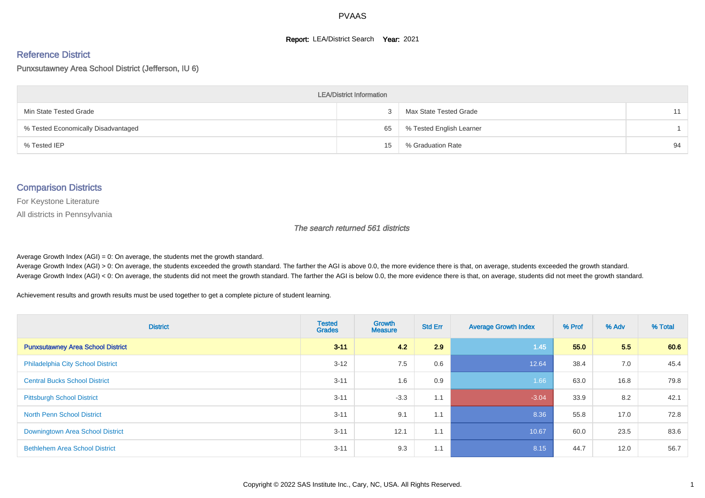#### **Report: LEA/District Search Year: 2021**

#### Reference District

#### Punxsutawney Area School District (Jefferson, IU 6)

| <b>LEA/District Information</b>     |    |                          |    |  |  |  |  |  |  |  |
|-------------------------------------|----|--------------------------|----|--|--|--|--|--|--|--|
| Min State Tested Grade              |    | Max State Tested Grade   | 11 |  |  |  |  |  |  |  |
| % Tested Economically Disadvantaged | 65 | % Tested English Learner |    |  |  |  |  |  |  |  |
| % Tested IEP                        | 15 | % Graduation Rate        | 94 |  |  |  |  |  |  |  |

#### Comparison Districts

For Keystone Literature

All districts in Pennsylvania

The search returned 561 districts

Average Growth Index  $(AGI) = 0$ : On average, the students met the growth standard.

Average Growth Index (AGI) > 0: On average, the students exceeded the growth standard. The farther the AGI is above 0.0, the more evidence there is that, on average, students exceeded the growth standard. Average Growth Index (AGI) < 0: On average, the students did not meet the growth standard. The farther the AGI is below 0.0, the more evidence there is that, on average, students did not meet the growth standard.

Achievement results and growth results must be used together to get a complete picture of student learning.

| <b>District</b>                          | <b>Tested</b><br><b>Grades</b> | <b>Growth</b><br><b>Measure</b> | <b>Std Err</b> | <b>Average Growth Index</b> | % Prof | % Adv | % Total |
|------------------------------------------|--------------------------------|---------------------------------|----------------|-----------------------------|--------|-------|---------|
| <b>Punxsutawney Area School District</b> | $3 - 11$                       | 4.2                             | 2.9            | 1.45                        | 55.0   | 5.5   | 60.6    |
| <b>Philadelphia City School District</b> | $3 - 12$                       | 7.5                             | 0.6            | 12.64                       | 38.4   | 7.0   | 45.4    |
| <b>Central Bucks School District</b>     | $3 - 11$                       | 1.6                             | 0.9            | 1.66                        | 63.0   | 16.8  | 79.8    |
| <b>Pittsburgh School District</b>        | $3 - 11$                       | $-3.3$                          | 1.1            | $-3.04$                     | 33.9   | 8.2   | 42.1    |
| <b>North Penn School District</b>        | $3 - 11$                       | 9.1                             | 1.1            | 8.36                        | 55.8   | 17.0  | 72.8    |
| Downingtown Area School District         | $3 - 11$                       | 12.1                            | 1.1            | 10.67                       | 60.0   | 23.5  | 83.6    |
| <b>Bethlehem Area School District</b>    | $3 - 11$                       | 9.3                             | 1.1            | 8.15                        | 44.7   | 12.0  | 56.7    |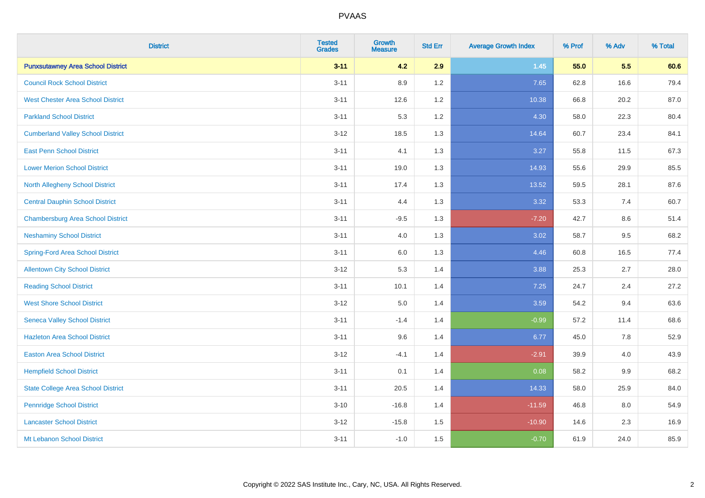| <b>District</b>                           | <b>Tested</b><br><b>Grades</b> | <b>Growth</b><br><b>Measure</b> | <b>Std Err</b> | <b>Average Growth Index</b> | % Prof | % Adv   | % Total |
|-------------------------------------------|--------------------------------|---------------------------------|----------------|-----------------------------|--------|---------|---------|
| <b>Punxsutawney Area School District</b>  | $3 - 11$                       | 4.2                             | 2.9            | $1.45$                      | 55.0   | 5.5     | 60.6    |
| <b>Council Rock School District</b>       | $3 - 11$                       | 8.9                             | 1.2            | 7.65                        | 62.8   | 16.6    | 79.4    |
| <b>West Chester Area School District</b>  | $3 - 11$                       | 12.6                            | 1.2            | 10.38                       | 66.8   | 20.2    | 87.0    |
| <b>Parkland School District</b>           | $3 - 11$                       | 5.3                             | 1.2            | 4.30                        | 58.0   | 22.3    | 80.4    |
| <b>Cumberland Valley School District</b>  | $3 - 12$                       | 18.5                            | 1.3            | 14.64                       | 60.7   | 23.4    | 84.1    |
| <b>East Penn School District</b>          | $3 - 11$                       | 4.1                             | 1.3            | 3.27                        | 55.8   | 11.5    | 67.3    |
| <b>Lower Merion School District</b>       | $3 - 11$                       | 19.0                            | 1.3            | 14.93                       | 55.6   | 29.9    | 85.5    |
| <b>North Allegheny School District</b>    | $3 - 11$                       | 17.4                            | 1.3            | 13.52                       | 59.5   | 28.1    | 87.6    |
| <b>Central Dauphin School District</b>    | $3 - 11$                       | 4.4                             | 1.3            | 3.32                        | 53.3   | 7.4     | 60.7    |
| <b>Chambersburg Area School District</b>  | $3 - 11$                       | $-9.5$                          | 1.3            | $-7.20$                     | 42.7   | 8.6     | 51.4    |
| <b>Neshaminy School District</b>          | $3 - 11$                       | 4.0                             | 1.3            | 3.02                        | 58.7   | 9.5     | 68.2    |
| <b>Spring-Ford Area School District</b>   | $3 - 11$                       | 6.0                             | 1.3            | 4.46                        | 60.8   | 16.5    | 77.4    |
| <b>Allentown City School District</b>     | $3 - 12$                       | 5.3                             | 1.4            | 3.88                        | 25.3   | $2.7\,$ | 28.0    |
| <b>Reading School District</b>            | $3 - 11$                       | 10.1                            | 1.4            | 7.25                        | 24.7   | 2.4     | 27.2    |
| <b>West Shore School District</b>         | $3 - 12$                       | 5.0                             | 1.4            | 3.59                        | 54.2   | 9.4     | 63.6    |
| <b>Seneca Valley School District</b>      | $3 - 11$                       | $-1.4$                          | 1.4            | $-0.99$                     | 57.2   | 11.4    | 68.6    |
| <b>Hazleton Area School District</b>      | $3 - 11$                       | 9.6                             | 1.4            | 6.77                        | 45.0   | 7.8     | 52.9    |
| <b>Easton Area School District</b>        | $3 - 12$                       | $-4.1$                          | 1.4            | $-2.91$                     | 39.9   | 4.0     | 43.9    |
| <b>Hempfield School District</b>          | $3 - 11$                       | 0.1                             | 1.4            | 0.08                        | 58.2   | 9.9     | 68.2    |
| <b>State College Area School District</b> | $3 - 11$                       | 20.5                            | 1.4            | 14.33                       | 58.0   | 25.9    | 84.0    |
| <b>Pennridge School District</b>          | $3 - 10$                       | $-16.8$                         | 1.4            | $-11.59$                    | 46.8   | 8.0     | 54.9    |
| <b>Lancaster School District</b>          | $3 - 12$                       | $-15.8$                         | 1.5            | $-10.90$                    | 14.6   | 2.3     | 16.9    |
| Mt Lebanon School District                | $3 - 11$                       | $-1.0$                          | 1.5            | $-0.70$                     | 61.9   | 24.0    | 85.9    |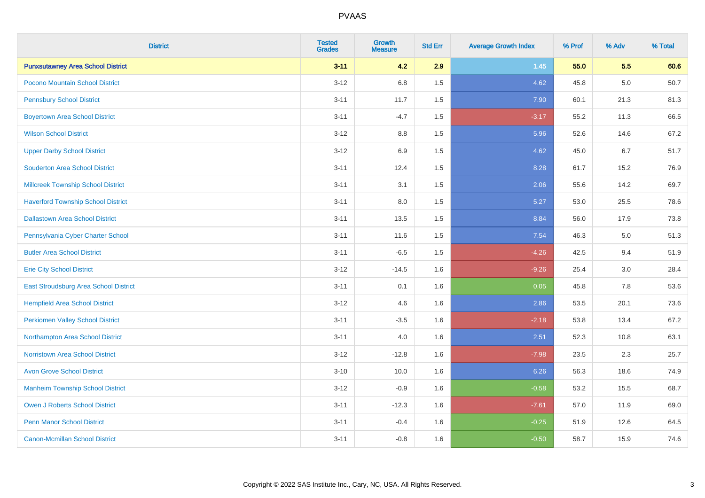| <b>District</b>                              | <b>Tested</b><br><b>Grades</b> | <b>Growth</b><br><b>Measure</b> | <b>Std Err</b> | <b>Average Growth Index</b> | % Prof | % Adv | % Total |
|----------------------------------------------|--------------------------------|---------------------------------|----------------|-----------------------------|--------|-------|---------|
| <b>Punxsutawney Area School District</b>     | $3 - 11$                       | 4.2                             | 2.9            | $1.45$                      | 55.0   | 5.5   | 60.6    |
| Pocono Mountain School District              | $3 - 12$                       | 6.8                             | 1.5            | 4.62                        | 45.8   | 5.0   | 50.7    |
| <b>Pennsbury School District</b>             | $3 - 11$                       | 11.7                            | 1.5            | 7.90                        | 60.1   | 21.3  | 81.3    |
| <b>Boyertown Area School District</b>        | $3 - 11$                       | $-4.7$                          | 1.5            | $-3.17$                     | 55.2   | 11.3  | 66.5    |
| <b>Wilson School District</b>                | $3 - 12$                       | 8.8                             | 1.5            | 5.96                        | 52.6   | 14.6  | 67.2    |
| <b>Upper Darby School District</b>           | $3 - 12$                       | $6.9\,$                         | 1.5            | 4.62                        | 45.0   | 6.7   | 51.7    |
| <b>Souderton Area School District</b>        | $3 - 11$                       | 12.4                            | 1.5            | 8.28                        | 61.7   | 15.2  | 76.9    |
| <b>Millcreek Township School District</b>    | $3 - 11$                       | 3.1                             | 1.5            | 2.06                        | 55.6   | 14.2  | 69.7    |
| <b>Haverford Township School District</b>    | $3 - 11$                       | 8.0                             | 1.5            | 5.27                        | 53.0   | 25.5  | 78.6    |
| <b>Dallastown Area School District</b>       | $3 - 11$                       | 13.5                            | 1.5            | 8.84                        | 56.0   | 17.9  | 73.8    |
| Pennsylvania Cyber Charter School            | $3 - 11$                       | 11.6                            | 1.5            | 7.54                        | 46.3   | 5.0   | 51.3    |
| <b>Butler Area School District</b>           | $3 - 11$                       | $-6.5$                          | 1.5            | $-4.26$                     | 42.5   | 9.4   | 51.9    |
| <b>Erie City School District</b>             | $3 - 12$                       | $-14.5$                         | 1.6            | $-9.26$                     | 25.4   | 3.0   | 28.4    |
| <b>East Stroudsburg Area School District</b> | $3 - 11$                       | 0.1                             | 1.6            | 0.05                        | 45.8   | 7.8   | 53.6    |
| <b>Hempfield Area School District</b>        | $3 - 12$                       | 4.6                             | 1.6            | 2.86                        | 53.5   | 20.1  | 73.6    |
| <b>Perkiomen Valley School District</b>      | $3 - 11$                       | $-3.5$                          | 1.6            | $-2.18$                     | 53.8   | 13.4  | 67.2    |
| Northampton Area School District             | $3 - 11$                       | 4.0                             | 1.6            | 2.51                        | 52.3   | 10.8  | 63.1    |
| <b>Norristown Area School District</b>       | $3 - 12$                       | $-12.8$                         | 1.6            | $-7.98$                     | 23.5   | 2.3   | 25.7    |
| <b>Avon Grove School District</b>            | $3 - 10$                       | 10.0                            | 1.6            | 6.26                        | 56.3   | 18.6  | 74.9    |
| <b>Manheim Township School District</b>      | $3 - 12$                       | $-0.9$                          | 1.6            | $-0.58$                     | 53.2   | 15.5  | 68.7    |
| Owen J Roberts School District               | $3 - 11$                       | $-12.3$                         | 1.6            | $-7.61$                     | 57.0   | 11.9  | 69.0    |
| <b>Penn Manor School District</b>            | $3 - 11$                       | $-0.4$                          | 1.6            | $-0.25$                     | 51.9   | 12.6  | 64.5    |
| <b>Canon-Mcmillan School District</b>        | $3 - 11$                       | $-0.8$                          | 1.6            | $-0.50$                     | 58.7   | 15.9  | 74.6    |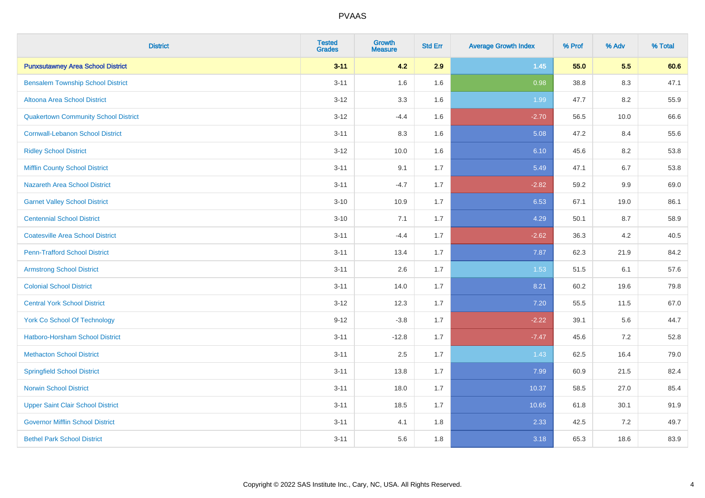| <b>District</b>                             | <b>Tested</b><br><b>Grades</b> | Growth<br><b>Measure</b> | <b>Std Err</b> | <b>Average Growth Index</b> | % Prof | % Adv   | % Total |
|---------------------------------------------|--------------------------------|--------------------------|----------------|-----------------------------|--------|---------|---------|
| <b>Punxsutawney Area School District</b>    | $3 - 11$                       | 4.2                      | 2.9            | $1.45$                      | 55.0   | 5.5     | 60.6    |
| <b>Bensalem Township School District</b>    | $3 - 11$                       | 1.6                      | 1.6            | 0.98                        | 38.8   | 8.3     | 47.1    |
| Altoona Area School District                | $3 - 12$                       | 3.3                      | 1.6            | 1.99                        | 47.7   | $8.2\,$ | 55.9    |
| <b>Quakertown Community School District</b> | $3 - 12$                       | $-4.4$                   | 1.6            | $-2.70$                     | 56.5   | 10.0    | 66.6    |
| <b>Cornwall-Lebanon School District</b>     | $3 - 11$                       | 8.3                      | 1.6            | 5.08                        | 47.2   | 8.4     | 55.6    |
| <b>Ridley School District</b>               | $3 - 12$                       | 10.0                     | 1.6            | 6.10                        | 45.6   | $8.2\,$ | 53.8    |
| <b>Mifflin County School District</b>       | $3 - 11$                       | 9.1                      | 1.7            | 5.49                        | 47.1   | 6.7     | 53.8    |
| <b>Nazareth Area School District</b>        | $3 - 11$                       | $-4.7$                   | 1.7            | $-2.82$                     | 59.2   | 9.9     | 69.0    |
| <b>Garnet Valley School District</b>        | $3 - 10$                       | 10.9                     | 1.7            | 6.53                        | 67.1   | 19.0    | 86.1    |
| <b>Centennial School District</b>           | $3 - 10$                       | 7.1                      | 1.7            | 4.29                        | 50.1   | 8.7     | 58.9    |
| <b>Coatesville Area School District</b>     | $3 - 11$                       | $-4.4$                   | 1.7            | $-2.62$                     | 36.3   | 4.2     | 40.5    |
| <b>Penn-Trafford School District</b>        | $3 - 11$                       | 13.4                     | 1.7            | 7.87                        | 62.3   | 21.9    | 84.2    |
| <b>Armstrong School District</b>            | $3 - 11$                       | 2.6                      | 1.7            | 1.53                        | 51.5   | 6.1     | 57.6    |
| <b>Colonial School District</b>             | $3 - 11$                       | 14.0                     | 1.7            | 8.21                        | 60.2   | 19.6    | 79.8    |
| <b>Central York School District</b>         | $3 - 12$                       | 12.3                     | 1.7            | 7.20                        | 55.5   | 11.5    | 67.0    |
| <b>York Co School Of Technology</b>         | $9 - 12$                       | $-3.8$                   | 1.7            | $-2.22$                     | 39.1   | 5.6     | 44.7    |
| <b>Hatboro-Horsham School District</b>      | $3 - 11$                       | $-12.8$                  | 1.7            | $-7.47$                     | 45.6   | 7.2     | 52.8    |
| <b>Methacton School District</b>            | $3 - 11$                       | 2.5                      | 1.7            | 1.43                        | 62.5   | 16.4    | 79.0    |
| <b>Springfield School District</b>          | $3 - 11$                       | 13.8                     | 1.7            | 7.99                        | 60.9   | 21.5    | 82.4    |
| <b>Norwin School District</b>               | $3 - 11$                       | 18.0                     | 1.7            | 10.37                       | 58.5   | 27.0    | 85.4    |
| <b>Upper Saint Clair School District</b>    | $3 - 11$                       | 18.5                     | 1.7            | 10.65                       | 61.8   | 30.1    | 91.9    |
| <b>Governor Mifflin School District</b>     | $3 - 11$                       | 4.1                      | 1.8            | 2.33                        | 42.5   | 7.2     | 49.7    |
| <b>Bethel Park School District</b>          | $3 - 11$                       | 5.6                      | 1.8            | 3.18                        | 65.3   | 18.6    | 83.9    |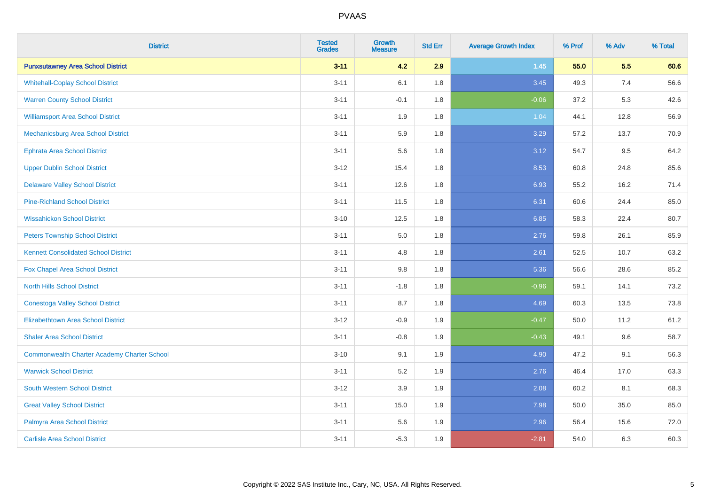| <b>District</b>                                    | <b>Tested</b><br><b>Grades</b> | <b>Growth</b><br><b>Measure</b> | <b>Std Err</b> | <b>Average Growth Index</b> | % Prof | % Adv | % Total |
|----------------------------------------------------|--------------------------------|---------------------------------|----------------|-----------------------------|--------|-------|---------|
| <b>Punxsutawney Area School District</b>           | $3 - 11$                       | 4.2                             | 2.9            | $1.45$                      | 55.0   | 5.5   | 60.6    |
| <b>Whitehall-Coplay School District</b>            | $3 - 11$                       | 6.1                             | 1.8            | 3.45                        | 49.3   | 7.4   | 56.6    |
| <b>Warren County School District</b>               | $3 - 11$                       | $-0.1$                          | 1.8            | $-0.06$                     | 37.2   | 5.3   | 42.6    |
| <b>Williamsport Area School District</b>           | $3 - 11$                       | 1.9                             | 1.8            | 1.04                        | 44.1   | 12.8  | 56.9    |
| Mechanicsburg Area School District                 | $3 - 11$                       | 5.9                             | 1.8            | 3.29                        | 57.2   | 13.7  | 70.9    |
| <b>Ephrata Area School District</b>                | $3 - 11$                       | 5.6                             | 1.8            | 3.12                        | 54.7   | 9.5   | 64.2    |
| <b>Upper Dublin School District</b>                | $3 - 12$                       | 15.4                            | 1.8            | 8.53                        | 60.8   | 24.8  | 85.6    |
| <b>Delaware Valley School District</b>             | $3 - 11$                       | 12.6                            | 1.8            | 6.93                        | 55.2   | 16.2  | 71.4    |
| <b>Pine-Richland School District</b>               | $3 - 11$                       | 11.5                            | 1.8            | 6.31                        | 60.6   | 24.4  | 85.0    |
| <b>Wissahickon School District</b>                 | $3 - 10$                       | 12.5                            | 1.8            | 6.85                        | 58.3   | 22.4  | 80.7    |
| <b>Peters Township School District</b>             | $3 - 11$                       | 5.0                             | 1.8            | 2.76                        | 59.8   | 26.1  | 85.9    |
| <b>Kennett Consolidated School District</b>        | $3 - 11$                       | 4.8                             | 1.8            | 2.61                        | 52.5   | 10.7  | 63.2    |
| Fox Chapel Area School District                    | $3 - 11$                       | $9.8\,$                         | 1.8            | 5.36                        | 56.6   | 28.6  | 85.2    |
| <b>North Hills School District</b>                 | $3 - 11$                       | $-1.8$                          | 1.8            | $-0.96$                     | 59.1   | 14.1  | 73.2    |
| <b>Conestoga Valley School District</b>            | $3 - 11$                       | 8.7                             | 1.8            | 4.69                        | 60.3   | 13.5  | 73.8    |
| <b>Elizabethtown Area School District</b>          | $3 - 12$                       | $-0.9$                          | 1.9            | $-0.47$                     | 50.0   | 11.2  | 61.2    |
| <b>Shaler Area School District</b>                 | $3 - 11$                       | $-0.8$                          | 1.9            | $-0.43$                     | 49.1   | 9.6   | 58.7    |
| <b>Commonwealth Charter Academy Charter School</b> | $3 - 10$                       | 9.1                             | 1.9            | 4.90                        | 47.2   | 9.1   | 56.3    |
| <b>Warwick School District</b>                     | $3 - 11$                       | 5.2                             | 1.9            | 2.76                        | 46.4   | 17.0  | 63.3    |
| <b>South Western School District</b>               | $3 - 12$                       | 3.9                             | 1.9            | 2.08                        | 60.2   | 8.1   | 68.3    |
| <b>Great Valley School District</b>                | $3 - 11$                       | 15.0                            | 1.9            | 7.98                        | 50.0   | 35.0  | 85.0    |
| Palmyra Area School District                       | $3 - 11$                       | 5.6                             | 1.9            | 2.96                        | 56.4   | 15.6  | 72.0    |
| <b>Carlisle Area School District</b>               | $3 - 11$                       | $-5.3$                          | 1.9            | $-2.81$                     | 54.0   | 6.3   | 60.3    |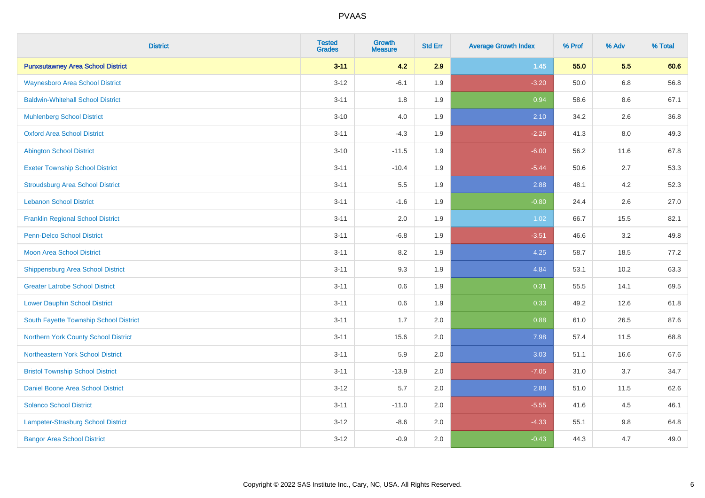| <b>District</b>                          | <b>Tested</b><br><b>Grades</b> | <b>Growth</b><br><b>Measure</b> | <b>Std Err</b> | <b>Average Growth Index</b> | % Prof | % Adv   | % Total |
|------------------------------------------|--------------------------------|---------------------------------|----------------|-----------------------------|--------|---------|---------|
| <b>Punxsutawney Area School District</b> | $3 - 11$                       | 4.2                             | 2.9            | $1.45$                      | 55.0   | 5.5     | 60.6    |
| <b>Waynesboro Area School District</b>   | $3 - 12$                       | $-6.1$                          | 1.9            | $-3.20$                     | 50.0   | $6.8\,$ | 56.8    |
| <b>Baldwin-Whitehall School District</b> | $3 - 11$                       | 1.8                             | 1.9            | 0.94                        | 58.6   | 8.6     | 67.1    |
| <b>Muhlenberg School District</b>        | $3 - 10$                       | 4.0                             | 1.9            | 2.10                        | 34.2   | 2.6     | 36.8    |
| <b>Oxford Area School District</b>       | $3 - 11$                       | $-4.3$                          | 1.9            | $-2.26$                     | 41.3   | 8.0     | 49.3    |
| <b>Abington School District</b>          | $3 - 10$                       | $-11.5$                         | 1.9            | $-6.00$                     | 56.2   | 11.6    | 67.8    |
| <b>Exeter Township School District</b>   | $3 - 11$                       | $-10.4$                         | 1.9            | $-5.44$                     | 50.6   | 2.7     | 53.3    |
| <b>Stroudsburg Area School District</b>  | $3 - 11$                       | 5.5                             | 1.9            | 2.88                        | 48.1   | 4.2     | 52.3    |
| <b>Lebanon School District</b>           | $3 - 11$                       | $-1.6$                          | 1.9            | $-0.80$                     | 24.4   | 2.6     | 27.0    |
| <b>Franklin Regional School District</b> | $3 - 11$                       | 2.0                             | 1.9            | 1.02                        | 66.7   | 15.5    | 82.1    |
| Penn-Delco School District               | $3 - 11$                       | $-6.8$                          | 1.9            | $-3.51$                     | 46.6   | 3.2     | 49.8    |
| <b>Moon Area School District</b>         | $3 - 11$                       | 8.2                             | 1.9            | 4.25                        | 58.7   | 18.5    | 77.2    |
| <b>Shippensburg Area School District</b> | $3 - 11$                       | 9.3                             | 1.9            | 4.84                        | 53.1   | 10.2    | 63.3    |
| <b>Greater Latrobe School District</b>   | $3 - 11$                       | 0.6                             | 1.9            | 0.31                        | 55.5   | 14.1    | 69.5    |
| <b>Lower Dauphin School District</b>     | $3 - 11$                       | 0.6                             | 1.9            | 0.33                        | 49.2   | 12.6    | 61.8    |
| South Fayette Township School District   | $3 - 11$                       | 1.7                             | 2.0            | 0.88                        | 61.0   | 26.5    | 87.6    |
| Northern York County School District     | $3 - 11$                       | 15.6                            | 2.0            | 7.98                        | 57.4   | 11.5    | 68.8    |
| Northeastern York School District        | $3 - 11$                       | 5.9                             | 2.0            | 3.03                        | 51.1   | 16.6    | 67.6    |
| <b>Bristol Township School District</b>  | $3 - 11$                       | $-13.9$                         | 2.0            | $-7.05$                     | 31.0   | 3.7     | 34.7    |
| Daniel Boone Area School District        | $3 - 12$                       | 5.7                             | 2.0            | 2.88                        | 51.0   | 11.5    | 62.6    |
| <b>Solanco School District</b>           | $3 - 11$                       | $-11.0$                         | 2.0            | $-5.55$                     | 41.6   | 4.5     | 46.1    |
| Lampeter-Strasburg School District       | $3 - 12$                       | $-8.6$                          | 2.0            | $-4.33$                     | 55.1   | 9.8     | 64.8    |
| <b>Bangor Area School District</b>       | $3 - 12$                       | $-0.9$                          | 2.0            | $-0.43$                     | 44.3   | 4.7     | 49.0    |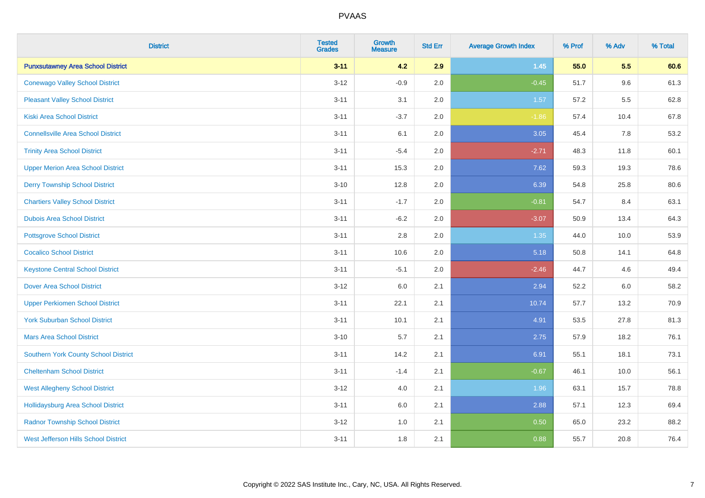| <b>District</b>                             | <b>Tested</b><br><b>Grades</b> | <b>Growth</b><br><b>Measure</b> | <b>Std Err</b> | <b>Average Growth Index</b> | % Prof | % Adv | % Total |
|---------------------------------------------|--------------------------------|---------------------------------|----------------|-----------------------------|--------|-------|---------|
| <b>Punxsutawney Area School District</b>    | $3 - 11$                       | 4.2                             | 2.9            | $1.45$                      | 55.0   | 5.5   | 60.6    |
| <b>Conewago Valley School District</b>      | $3 - 12$                       | $-0.9$                          | 2.0            | $-0.45$                     | 51.7   | 9.6   | 61.3    |
| <b>Pleasant Valley School District</b>      | $3 - 11$                       | 3.1                             | 2.0            | 1.57                        | 57.2   | 5.5   | 62.8    |
| <b>Kiski Area School District</b>           | $3 - 11$                       | $-3.7$                          | 2.0            | $-1.86$                     | 57.4   | 10.4  | 67.8    |
| <b>Connellsville Area School District</b>   | $3 - 11$                       | 6.1                             | 2.0            | 3.05                        | 45.4   | 7.8   | 53.2    |
| <b>Trinity Area School District</b>         | $3 - 11$                       | $-5.4$                          | 2.0            | $-2.71$                     | 48.3   | 11.8  | 60.1    |
| <b>Upper Merion Area School District</b>    | $3 - 11$                       | 15.3                            | 2.0            | 7.62                        | 59.3   | 19.3  | 78.6    |
| <b>Derry Township School District</b>       | $3 - 10$                       | 12.8                            | 2.0            | 6.39                        | 54.8   | 25.8  | 80.6    |
| <b>Chartiers Valley School District</b>     | $3 - 11$                       | $-1.7$                          | 2.0            | $-0.81$                     | 54.7   | 8.4   | 63.1    |
| <b>Dubois Area School District</b>          | $3 - 11$                       | $-6.2$                          | 2.0            | $-3.07$                     | 50.9   | 13.4  | 64.3    |
| <b>Pottsgrove School District</b>           | $3 - 11$                       | 2.8                             | 2.0            | 1.35                        | 44.0   | 10.0  | 53.9    |
| <b>Cocalico School District</b>             | $3 - 11$                       | 10.6                            | 2.0            | 5.18                        | 50.8   | 14.1  | 64.8    |
| <b>Keystone Central School District</b>     | $3 - 11$                       | $-5.1$                          | 2.0            | $-2.46$                     | 44.7   | 4.6   | 49.4    |
| <b>Dover Area School District</b>           | $3 - 12$                       | 6.0                             | 2.1            | 2.94                        | 52.2   | 6.0   | 58.2    |
| <b>Upper Perkiomen School District</b>      | $3 - 11$                       | 22.1                            | 2.1            | 10.74                       | 57.7   | 13.2  | 70.9    |
| <b>York Suburban School District</b>        | $3 - 11$                       | 10.1                            | 2.1            | 4.91                        | 53.5   | 27.8  | 81.3    |
| <b>Mars Area School District</b>            | $3 - 10$                       | 5.7                             | 2.1            | 2.75                        | 57.9   | 18.2  | 76.1    |
| <b>Southern York County School District</b> | $3 - 11$                       | 14.2                            | 2.1            | 6.91                        | 55.1   | 18.1  | 73.1    |
| <b>Cheltenham School District</b>           | $3 - 11$                       | $-1.4$                          | 2.1            | $-0.67$                     | 46.1   | 10.0  | 56.1    |
| <b>West Allegheny School District</b>       | $3 - 12$                       | 4.0                             | 2.1            | 1.96                        | 63.1   | 15.7  | 78.8    |
| <b>Hollidaysburg Area School District</b>   | $3 - 11$                       | 6.0                             | 2.1            | 2.88                        | 57.1   | 12.3  | 69.4    |
| <b>Radnor Township School District</b>      | $3 - 12$                       | 1.0                             | 2.1            | 0.50                        | 65.0   | 23.2  | 88.2    |
| <b>West Jefferson Hills School District</b> | $3 - 11$                       | 1.8                             | 2.1            | 0.88                        | 55.7   | 20.8  | 76.4    |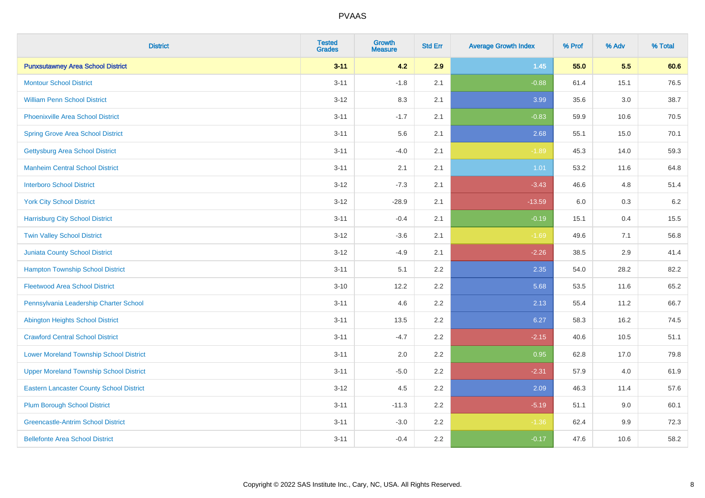| <b>District</b>                                 | <b>Tested</b><br><b>Grades</b> | <b>Growth</b><br><b>Measure</b> | <b>Std Err</b> | <b>Average Growth Index</b> | % Prof | % Adv   | % Total |
|-------------------------------------------------|--------------------------------|---------------------------------|----------------|-----------------------------|--------|---------|---------|
| <b>Punxsutawney Area School District</b>        | $3 - 11$                       | 4.2                             | 2.9            | $1.45$                      | 55.0   | 5.5     | 60.6    |
| <b>Montour School District</b>                  | $3 - 11$                       | $-1.8$                          | 2.1            | $-0.88$                     | 61.4   | 15.1    | 76.5    |
| <b>William Penn School District</b>             | $3 - 12$                       | 8.3                             | 2.1            | 3.99                        | 35.6   | 3.0     | 38.7    |
| <b>Phoenixville Area School District</b>        | $3 - 11$                       | $-1.7$                          | 2.1            | $-0.83$                     | 59.9   | 10.6    | 70.5    |
| <b>Spring Grove Area School District</b>        | $3 - 11$                       | 5.6                             | 2.1            | 2.68                        | 55.1   | 15.0    | 70.1    |
| <b>Gettysburg Area School District</b>          | $3 - 11$                       | $-4.0$                          | 2.1            | $-1.89$                     | 45.3   | 14.0    | 59.3    |
| <b>Manheim Central School District</b>          | $3 - 11$                       | 2.1                             | 2.1            | 1.01                        | 53.2   | 11.6    | 64.8    |
| <b>Interboro School District</b>                | $3 - 12$                       | $-7.3$                          | 2.1            | $-3.43$                     | 46.6   | 4.8     | 51.4    |
| <b>York City School District</b>                | $3 - 12$                       | $-28.9$                         | 2.1            | $-13.59$                    | 6.0    | 0.3     | 6.2     |
| <b>Harrisburg City School District</b>          | $3 - 11$                       | $-0.4$                          | 2.1            | $-0.19$                     | 15.1   | 0.4     | 15.5    |
| <b>Twin Valley School District</b>              | $3 - 12$                       | $-3.6$                          | 2.1            | $-1.69$                     | 49.6   | 7.1     | 56.8    |
| <b>Juniata County School District</b>           | $3 - 12$                       | $-4.9$                          | 2.1            | $-2.26$                     | 38.5   | 2.9     | 41.4    |
| <b>Hampton Township School District</b>         | $3 - 11$                       | 5.1                             | 2.2            | 2.35                        | 54.0   | 28.2    | 82.2    |
| <b>Fleetwood Area School District</b>           | $3 - 10$                       | 12.2                            | 2.2            | 5.68                        | 53.5   | 11.6    | 65.2    |
| Pennsylvania Leadership Charter School          | $3 - 11$                       | 4.6                             | 2.2            | 2.13                        | 55.4   | 11.2    | 66.7    |
| <b>Abington Heights School District</b>         | $3 - 11$                       | 13.5                            | 2.2            | 6.27                        | 58.3   | 16.2    | 74.5    |
| <b>Crawford Central School District</b>         | $3 - 11$                       | $-4.7$                          | 2.2            | $-2.15$                     | 40.6   | 10.5    | 51.1    |
| <b>Lower Moreland Township School District</b>  | $3 - 11$                       | 2.0                             | 2.2            | 0.95                        | 62.8   | 17.0    | 79.8    |
| <b>Upper Moreland Township School District</b>  | $3 - 11$                       | $-5.0$                          | 2.2            | $-2.31$                     | 57.9   | 4.0     | 61.9    |
| <b>Eastern Lancaster County School District</b> | $3 - 12$                       | 4.5                             | 2.2            | 2.09                        | 46.3   | 11.4    | 57.6    |
| <b>Plum Borough School District</b>             | $3 - 11$                       | $-11.3$                         | 2.2            | $-5.19$                     | 51.1   | 9.0     | 60.1    |
| <b>Greencastle-Antrim School District</b>       | $3 - 11$                       | $-3.0$                          | 2.2            | $-1.36$                     | 62.4   | $9.9\,$ | 72.3    |
| <b>Bellefonte Area School District</b>          | $3 - 11$                       | $-0.4$                          | 2.2            | $-0.17$                     | 47.6   | 10.6    | 58.2    |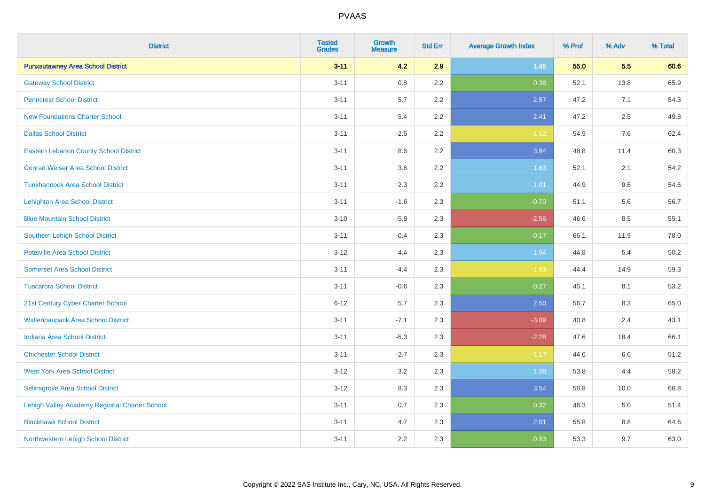| <b>District</b>                               | <b>Tested</b><br><b>Grades</b> | Growth<br><b>Measure</b> | <b>Std Err</b> | <b>Average Growth Index</b> | % Prof | % Adv | % Total |
|-----------------------------------------------|--------------------------------|--------------------------|----------------|-----------------------------|--------|-------|---------|
| <b>Punxsutawney Area School District</b>      | $3 - 11$                       | 4.2                      | 2.9            | $1.45$                      | 55.0   | 5.5   | 60.6    |
| <b>Gateway School District</b>                | $3 - 11$                       | 0.8                      | 2.2            | 0.38                        | 52.1   | 13.8  | 65.9    |
| <b>Penncrest School District</b>              | $3 - 11$                       | 5.7                      | 2.2            | 2.57                        | 47.2   | 7.1   | 54.3    |
| <b>New Foundations Charter School</b>         | $3 - 11$                       | 5.4                      | 2.2            | 2.41                        | 47.2   | 2.5   | 49.8    |
| <b>Dallas School District</b>                 | $3 - 11$                       | $-2.5$                   | 2.2            | $-1.12$                     | 54.9   | 7.6   | 62.4    |
| <b>Eastern Lebanon County School District</b> | $3 - 11$                       | 8.6                      | 2.2            | 3.84                        | 48.8   | 11.4  | 60.3    |
| <b>Conrad Weiser Area School District</b>     | $3 - 11$                       | 3.6                      | 2.2            | 1.63                        | 52.1   | 2.1   | 54.2    |
| <b>Tunkhannock Area School District</b>       | $3 - 11$                       | 2.3                      | 2.2            | 1.01                        | 44.9   | 9.6   | 54.6    |
| <b>Lehighton Area School District</b>         | $3 - 11$                       | $-1.6$                   | 2.3            | $-0.70$                     | 51.1   | 5.6   | 56.7    |
| <b>Blue Mountain School District</b>          | $3 - 10$                       | $-5.8$                   | 2.3            | $-2.56$                     | 46.6   | 8.5   | 55.1    |
| Southern Lehigh School District               | $3 - 11$                       | $-0.4$                   | 2.3            | $-0.17$                     | 66.1   | 11.9  | 78.0    |
| <b>Pottsville Area School District</b>        | $3 - 12$                       | 4.4                      | 2.3            | 1.94                        | 44.8   | 5.4   | 50.2    |
| <b>Somerset Area School District</b>          | $3 - 11$                       | $-4.4$                   | 2.3            | $-1.93$                     | 44.4   | 14.9  | 59.3    |
| <b>Tuscarora School District</b>              | $3 - 11$                       | $-0.6$                   | 2.3            | $-0.27$                     | 45.1   | 8.1   | 53.2    |
| 21st Century Cyber Charter School             | $6 - 12$                       | 5.7                      | 2.3            | 2.50                        | 56.7   | 8.3   | 65.0    |
| <b>Wallenpaupack Area School District</b>     | $3 - 11$                       | $-7.1$                   | 2.3            | $-3.09$                     | 40.8   | 2.4   | 43.1    |
| <b>Indiana Area School District</b>           | $3 - 11$                       | $-5.3$                   | 2.3            | $-2.28$                     | 47.6   | 18.4  | 66.1    |
| <b>Chichester School District</b>             | $3 - 11$                       | $-2.7$                   | 2.3            | $-1.17$                     | 44.6   | 6.6   | 51.2    |
| <b>West York Area School District</b>         | $3 - 12$                       | 3.2                      | 2.3            | 1.38                        | 53.8   | 4.4   | 58.2    |
| <b>Selinsgrove Area School District</b>       | $3 - 12$                       | 8.3                      | 2.3            | 3.54                        | 56.8   | 10.0  | 66.8    |
| Lehigh Valley Academy Regional Charter School | $3 - 11$                       | 0.7                      | 2.3            | 0.32                        | 46.3   | 5.0   | 51.4    |
| <b>Blackhawk School District</b>              | $3 - 11$                       | 4.7                      | 2.3            | 2.01                        | 55.8   | 8.8   | 64.6    |
| Northwestern Lehigh School District           | $3 - 11$                       | 2.2                      | 2.3            | 0.93                        | 53.3   | 9.7   | 63.0    |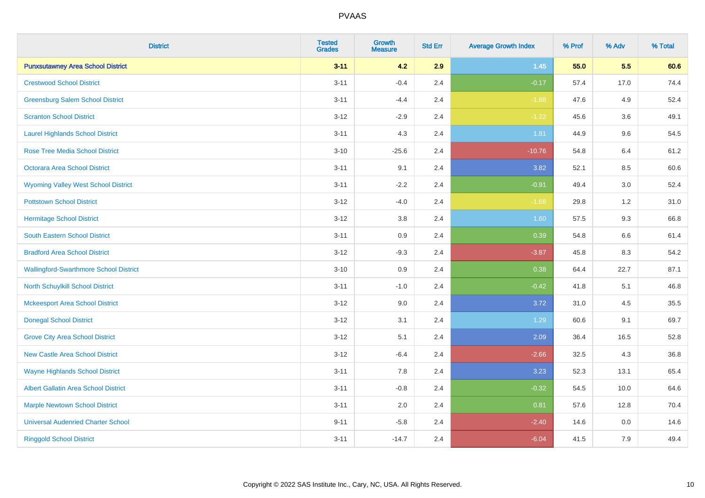| <b>District</b>                               | <b>Tested</b><br><b>Grades</b> | <b>Growth</b><br><b>Measure</b> | <b>Std Err</b> | <b>Average Growth Index</b> | % Prof | % Adv | % Total |
|-----------------------------------------------|--------------------------------|---------------------------------|----------------|-----------------------------|--------|-------|---------|
| <b>Punxsutawney Area School District</b>      | $3 - 11$                       | 4.2                             | 2.9            | $1.45$                      | 55.0   | 5.5   | 60.6    |
| <b>Crestwood School District</b>              | $3 - 11$                       | $-0.4$                          | 2.4            | $-0.17$                     | 57.4   | 17.0  | 74.4    |
| <b>Greensburg Salem School District</b>       | $3 - 11$                       | $-4.4$                          | 2.4            | $-1.88$                     | 47.6   | 4.9   | 52.4    |
| <b>Scranton School District</b>               | $3 - 12$                       | $-2.9$                          | 2.4            | $-1.22$                     | 45.6   | 3.6   | 49.1    |
| <b>Laurel Highlands School District</b>       | $3 - 11$                       | 4.3                             | 2.4            | 1.81                        | 44.9   | 9.6   | 54.5    |
| <b>Rose Tree Media School District</b>        | $3 - 10$                       | $-25.6$                         | 2.4            | $-10.76$                    | 54.8   | 6.4   | 61.2    |
| Octorara Area School District                 | $3 - 11$                       | 9.1                             | 2.4            | 3.82                        | 52.1   | 8.5   | 60.6    |
| <b>Wyoming Valley West School District</b>    | $3 - 11$                       | $-2.2$                          | 2.4            | $-0.91$                     | 49.4   | 3.0   | 52.4    |
| <b>Pottstown School District</b>              | $3 - 12$                       | $-4.0$                          | 2.4            | $-1.68$                     | 29.8   | 1.2   | 31.0    |
| <b>Hermitage School District</b>              | $3 - 12$                       | 3.8                             | 2.4            | 1.60                        | 57.5   | 9.3   | 66.8    |
| South Eastern School District                 | $3 - 11$                       | 0.9                             | 2.4            | 0.39                        | 54.8   | 6.6   | 61.4    |
| <b>Bradford Area School District</b>          | $3 - 12$                       | $-9.3$                          | 2.4            | $-3.87$                     | 45.8   | 8.3   | 54.2    |
| <b>Wallingford-Swarthmore School District</b> | $3 - 10$                       | 0.9                             | 2.4            | 0.38                        | 64.4   | 22.7  | 87.1    |
| North Schuylkill School District              | $3 - 11$                       | $-1.0$                          | 2.4            | $-0.42$                     | 41.8   | 5.1   | 46.8    |
| <b>Mckeesport Area School District</b>        | $3 - 12$                       | 9.0                             | 2.4            | 3.72                        | 31.0   | 4.5   | 35.5    |
| <b>Donegal School District</b>                | $3-12$                         | 3.1                             | 2.4            | 1.29                        | 60.6   | 9.1   | 69.7    |
| <b>Grove City Area School District</b>        | $3 - 12$                       | 5.1                             | 2.4            | 2.09                        | 36.4   | 16.5  | 52.8    |
| <b>New Castle Area School District</b>        | $3 - 12$                       | $-6.4$                          | 2.4            | $-2.66$                     | 32.5   | 4.3   | 36.8    |
| <b>Wayne Highlands School District</b>        | $3 - 11$                       | 7.8                             | 2.4            | 3.23                        | 52.3   | 13.1  | 65.4    |
| <b>Albert Gallatin Area School District</b>   | $3 - 11$                       | $-0.8$                          | 2.4            | $-0.32$                     | 54.5   | 10.0  | 64.6    |
| <b>Marple Newtown School District</b>         | $3 - 11$                       | 2.0                             | 2.4            | 0.81                        | 57.6   | 12.8  | 70.4    |
| <b>Universal Audenried Charter School</b>     | $9 - 11$                       | $-5.8$                          | 2.4            | $-2.40$                     | 14.6   | 0.0   | 14.6    |
| <b>Ringgold School District</b>               | $3 - 11$                       | $-14.7$                         | 2.4            | $-6.04$                     | 41.5   | 7.9   | 49.4    |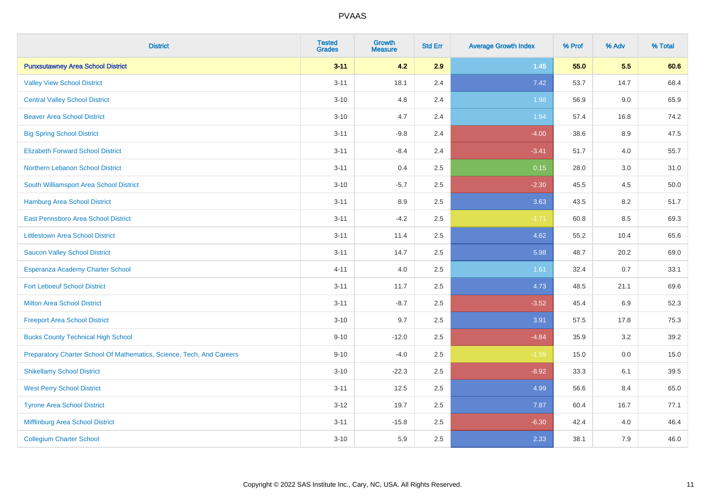| <b>District</b>                                                       | <b>Tested</b><br><b>Grades</b> | <b>Growth</b><br><b>Measure</b> | <b>Std Err</b> | <b>Average Growth Index</b> | % Prof | % Adv | % Total |
|-----------------------------------------------------------------------|--------------------------------|---------------------------------|----------------|-----------------------------|--------|-------|---------|
| <b>Punxsutawney Area School District</b>                              | $3 - 11$                       | 4.2                             | 2.9            | $1.45$                      | 55.0   | 5.5   | 60.6    |
| <b>Valley View School District</b>                                    | $3 - 11$                       | 18.1                            | 2.4            | 7.42                        | 53.7   | 14.7  | 68.4    |
| <b>Central Valley School District</b>                                 | $3 - 10$                       | 4.8                             | 2.4            | 1.98                        | 56.9   | 9.0   | 65.9    |
| <b>Beaver Area School District</b>                                    | $3 - 10$                       | 4.7                             | 2.4            | 1.94                        | 57.4   | 16.8  | 74.2    |
| <b>Big Spring School District</b>                                     | $3 - 11$                       | $-9.8$                          | 2.4            | $-4.00$                     | 38.6   | 8.9   | 47.5    |
| <b>Elizabeth Forward School District</b>                              | $3 - 11$                       | $-8.4$                          | 2.4            | $-3.41$                     | 51.7   | 4.0   | 55.7    |
| Northern Lebanon School District                                      | $3 - 11$                       | 0.4                             | 2.5            | 0.15                        | 28.0   | 3.0   | 31.0    |
| South Williamsport Area School District                               | $3 - 10$                       | $-5.7$                          | 2.5            | $-2.30$                     | 45.5   | 4.5   | 50.0    |
| <b>Hamburg Area School District</b>                                   | $3 - 11$                       | 8.9                             | 2.5            | 3.63                        | 43.5   | 8.2   | 51.7    |
| East Pennsboro Area School District                                   | $3 - 11$                       | $-4.2$                          | 2.5            | $-1.71$                     | 60.8   | 8.5   | 69.3    |
| <b>Littlestown Area School District</b>                               | $3 - 11$                       | 11.4                            | 2.5            | 4.62                        | 55.2   | 10.4  | 65.6    |
| <b>Saucon Valley School District</b>                                  | $3 - 11$                       | 14.7                            | 2.5            | 5.98                        | 48.7   | 20.2  | 69.0    |
| Esperanza Academy Charter School                                      | $4 - 11$                       | 4.0                             | 2.5            | 1.61                        | 32.4   | 0.7   | 33.1    |
| <b>Fort Leboeuf School District</b>                                   | $3 - 11$                       | 11.7                            | 2.5            | 4.73                        | 48.5   | 21.1  | 69.6    |
| <b>Milton Area School District</b>                                    | $3 - 11$                       | $-8.7$                          | 2.5            | $-3.52$                     | 45.4   | 6.9   | 52.3    |
| <b>Freeport Area School District</b>                                  | $3 - 10$                       | 9.7                             | 2.5            | 3.91                        | 57.5   | 17.8  | 75.3    |
| <b>Bucks County Technical High School</b>                             | $9 - 10$                       | $-12.0$                         | 2.5            | $-4.84$                     | 35.9   | 3.2   | 39.2    |
| Preparatory Charter School Of Mathematics, Science, Tech, And Careers | $9 - 10$                       | $-4.0$                          | 2.5            | $-1.59$                     | 15.0   | 0.0   | 15.0    |
| <b>Shikellamy School District</b>                                     | $3 - 10$                       | $-22.3$                         | 2.5            | $-8.92$                     | 33.3   | 6.1   | 39.5    |
| <b>West Perry School District</b>                                     | $3 - 11$                       | 12.5                            | 2.5            | 4.99                        | 56.6   | 8.4   | 65.0    |
| <b>Tyrone Area School District</b>                                    | $3 - 12$                       | 19.7                            | 2.5            | 7.87                        | 60.4   | 16.7  | 77.1    |
| Mifflinburg Area School District                                      | $3 - 11$                       | $-15.8$                         | 2.5            | $-6.30$                     | 42.4   | 4.0   | 46.4    |
| <b>Collegium Charter School</b>                                       | $3 - 10$                       | 5.9                             | 2.5            | 2.33                        | 38.1   | 7.9   | 46.0    |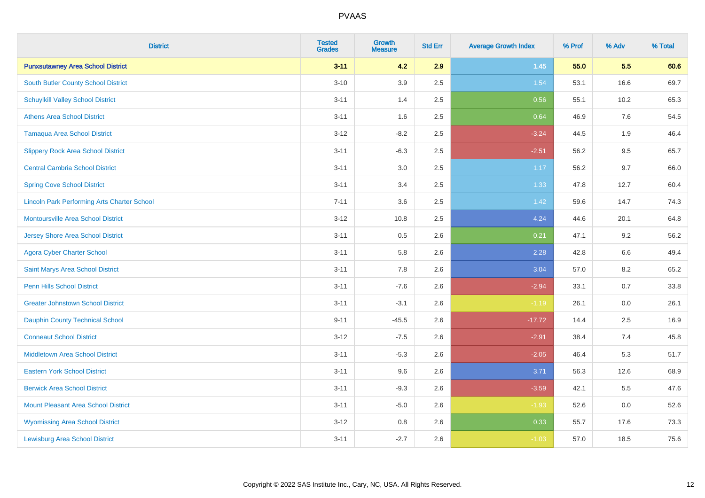| <b>District</b>                                    | <b>Tested</b><br><b>Grades</b> | <b>Growth</b><br><b>Measure</b> | <b>Std Err</b> | <b>Average Growth Index</b> | % Prof | % Adv | % Total |
|----------------------------------------------------|--------------------------------|---------------------------------|----------------|-----------------------------|--------|-------|---------|
| <b>Punxsutawney Area School District</b>           | $3 - 11$                       | 4.2                             | 2.9            | 1.45                        | 55.0   | 5.5   | 60.6    |
| <b>South Butler County School District</b>         | $3 - 10$                       | 3.9                             | 2.5            | 1.54                        | 53.1   | 16.6  | 69.7    |
| <b>Schuylkill Valley School District</b>           | $3 - 11$                       | 1.4                             | 2.5            | 0.56                        | 55.1   | 10.2  | 65.3    |
| <b>Athens Area School District</b>                 | $3 - 11$                       | 1.6                             | 2.5            | 0.64                        | 46.9   | 7.6   | 54.5    |
| <b>Tamaqua Area School District</b>                | $3 - 12$                       | $-8.2$                          | 2.5            | $-3.24$                     | 44.5   | 1.9   | 46.4    |
| <b>Slippery Rock Area School District</b>          | $3 - 11$                       | $-6.3$                          | 2.5            | $-2.51$                     | 56.2   | 9.5   | 65.7    |
| <b>Central Cambria School District</b>             | $3 - 11$                       | $3.0\,$                         | 2.5            | 1.17                        | 56.2   | 9.7   | 66.0    |
| <b>Spring Cove School District</b>                 | $3 - 11$                       | 3.4                             | 2.5            | 1.33                        | 47.8   | 12.7  | 60.4    |
| <b>Lincoln Park Performing Arts Charter School</b> | $7 - 11$                       | 3.6                             | 2.5            | 1.42                        | 59.6   | 14.7  | 74.3    |
| <b>Montoursville Area School District</b>          | $3-12$                         | 10.8                            | 2.5            | 4.24                        | 44.6   | 20.1  | 64.8    |
| <b>Jersey Shore Area School District</b>           | $3 - 11$                       | 0.5                             | 2.6            | 0.21                        | 47.1   | 9.2   | 56.2    |
| <b>Agora Cyber Charter School</b>                  | $3 - 11$                       | 5.8                             | 2.6            | 2.28                        | 42.8   | 6.6   | 49.4    |
| Saint Marys Area School District                   | $3 - 11$                       | 7.8                             | 2.6            | 3.04                        | 57.0   | 8.2   | 65.2    |
| <b>Penn Hills School District</b>                  | $3 - 11$                       | $-7.6$                          | 2.6            | $-2.94$                     | 33.1   | 0.7   | 33.8    |
| <b>Greater Johnstown School District</b>           | $3 - 11$                       | $-3.1$                          | 2.6            | $-1.19$                     | 26.1   | 0.0   | 26.1    |
| <b>Dauphin County Technical School</b>             | $9 - 11$                       | $-45.5$                         | 2.6            | $-17.72$                    | 14.4   | 2.5   | 16.9    |
| <b>Conneaut School District</b>                    | $3 - 12$                       | $-7.5$                          | 2.6            | $-2.91$                     | 38.4   | 7.4   | 45.8    |
| <b>Middletown Area School District</b>             | $3 - 11$                       | $-5.3$                          | 2.6            | $-2.05$                     | 46.4   | 5.3   | 51.7    |
| <b>Eastern York School District</b>                | $3 - 11$                       | 9.6                             | 2.6            | 3.71                        | 56.3   | 12.6  | 68.9    |
| <b>Berwick Area School District</b>                | $3 - 11$                       | $-9.3$                          | 2.6            | $-3.59$                     | 42.1   | 5.5   | 47.6    |
| <b>Mount Pleasant Area School District</b>         | $3 - 11$                       | $-5.0$                          | 2.6            | $-1.93$                     | 52.6   | 0.0   | 52.6    |
| <b>Wyomissing Area School District</b>             | $3 - 12$                       | 0.8                             | 2.6            | 0.33                        | 55.7   | 17.6  | 73.3    |
| <b>Lewisburg Area School District</b>              | $3 - 11$                       | $-2.7$                          | 2.6            | $-1.03$                     | 57.0   | 18.5  | 75.6    |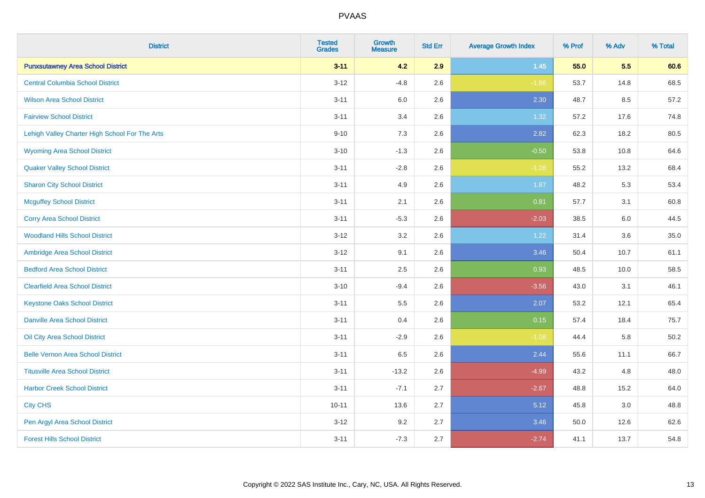| <b>District</b>                                | <b>Tested</b><br><b>Grades</b> | <b>Growth</b><br><b>Measure</b> | <b>Std Err</b> | <b>Average Growth Index</b> | % Prof | % Adv | % Total |
|------------------------------------------------|--------------------------------|---------------------------------|----------------|-----------------------------|--------|-------|---------|
| <b>Punxsutawney Area School District</b>       | $3 - 11$                       | 4.2                             | 2.9            | 1.45                        | 55.0   | 5.5   | 60.6    |
| <b>Central Columbia School District</b>        | $3 - 12$                       | $-4.8$                          | 2.6            | $-1.86$                     | 53.7   | 14.8  | 68.5    |
| <b>Wilson Area School District</b>             | $3 - 11$                       | 6.0                             | 2.6            | 2.30                        | 48.7   | 8.5   | 57.2    |
| <b>Fairview School District</b>                | $3 - 11$                       | 3.4                             | 2.6            | 1.32                        | 57.2   | 17.6  | 74.8    |
| Lehigh Valley Charter High School For The Arts | $9 - 10$                       | 7.3                             | 2.6            | 2.82                        | 62.3   | 18.2  | 80.5    |
| <b>Wyoming Area School District</b>            | $3 - 10$                       | $-1.3$                          | 2.6            | $-0.50$                     | 53.8   | 10.8  | 64.6    |
| <b>Quaker Valley School District</b>           | $3 - 11$                       | $-2.8$                          | 2.6            | $-1.08$                     | 55.2   | 13.2  | 68.4    |
| <b>Sharon City School District</b>             | $3 - 11$                       | 4.9                             | 2.6            | 1.87                        | 48.2   | 5.3   | 53.4    |
| <b>Mcguffey School District</b>                | $3 - 11$                       | 2.1                             | 2.6            | 0.81                        | 57.7   | 3.1   | 60.8    |
| <b>Corry Area School District</b>              | $3 - 11$                       | $-5.3$                          | 2.6            | $-2.03$                     | 38.5   | 6.0   | 44.5    |
| <b>Woodland Hills School District</b>          | $3-12$                         | 3.2                             | 2.6            | 1.22                        | 31.4   | 3.6   | 35.0    |
| Ambridge Area School District                  | $3 - 12$                       | 9.1                             | 2.6            | 3.46                        | 50.4   | 10.7  | 61.1    |
| <b>Bedford Area School District</b>            | $3 - 11$                       | 2.5                             | 2.6            | 0.93                        | 48.5   | 10.0  | 58.5    |
| <b>Clearfield Area School District</b>         | $3 - 10$                       | $-9.4$                          | 2.6            | $-3.56$                     | 43.0   | 3.1   | 46.1    |
| <b>Keystone Oaks School District</b>           | $3 - 11$                       | 5.5                             | 2.6            | 2.07                        | 53.2   | 12.1  | 65.4    |
| <b>Danville Area School District</b>           | $3 - 11$                       | 0.4                             | 2.6            | 0.15                        | 57.4   | 18.4  | 75.7    |
| <b>Oil City Area School District</b>           | $3 - 11$                       | $-2.9$                          | 2.6            | $-1.08$                     | 44.4   | 5.8   | 50.2    |
| <b>Belle Vernon Area School District</b>       | $3 - 11$                       | 6.5                             | 2.6            | 2.44                        | 55.6   | 11.1  | 66.7    |
| <b>Titusville Area School District</b>         | $3 - 11$                       | $-13.2$                         | 2.6            | $-4.99$                     | 43.2   | 4.8   | 48.0    |
| <b>Harbor Creek School District</b>            | $3 - 11$                       | $-7.1$                          | 2.7            | $-2.67$                     | 48.8   | 15.2  | 64.0    |
| <b>City CHS</b>                                | $10 - 11$                      | 13.6                            | 2.7            | 5.12                        | 45.8   | 3.0   | 48.8    |
| Pen Argyl Area School District                 | $3 - 12$                       | 9.2                             | 2.7            | 3.46                        | 50.0   | 12.6  | 62.6    |
| <b>Forest Hills School District</b>            | $3 - 11$                       | $-7.3$                          | 2.7            | $-2.74$                     | 41.1   | 13.7  | 54.8    |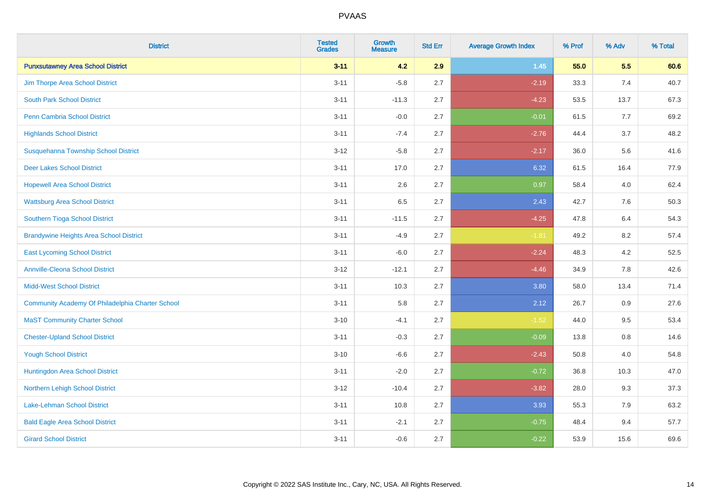| <b>District</b>                                  | <b>Tested</b><br><b>Grades</b> | <b>Growth</b><br><b>Measure</b> | <b>Std Err</b> | <b>Average Growth Index</b> | % Prof | % Adv   | % Total |
|--------------------------------------------------|--------------------------------|---------------------------------|----------------|-----------------------------|--------|---------|---------|
| <b>Punxsutawney Area School District</b>         | $3 - 11$                       | 4.2                             | 2.9            | $1.45$                      | 55.0   | 5.5     | 60.6    |
| Jim Thorpe Area School District                  | $3 - 11$                       | $-5.8$                          | 2.7            | $-2.19$                     | 33.3   | 7.4     | 40.7    |
| <b>South Park School District</b>                | $3 - 11$                       | $-11.3$                         | 2.7            | $-4.23$                     | 53.5   | 13.7    | 67.3    |
| Penn Cambria School District                     | $3 - 11$                       | $-0.0$                          | 2.7            | $-0.01$                     | 61.5   | 7.7     | 69.2    |
| <b>Highlands School District</b>                 | $3 - 11$                       | $-7.4$                          | 2.7            | $-2.76$                     | 44.4   | 3.7     | 48.2    |
| Susquehanna Township School District             | $3 - 12$                       | $-5.8$                          | 2.7            | $-2.17$                     | 36.0   | 5.6     | 41.6    |
| <b>Deer Lakes School District</b>                | $3 - 11$                       | 17.0                            | 2.7            | 6.32                        | 61.5   | 16.4    | 77.9    |
| <b>Hopewell Area School District</b>             | $3 - 11$                       | 2.6                             | 2.7            | 0.97                        | 58.4   | 4.0     | 62.4    |
| <b>Wattsburg Area School District</b>            | $3 - 11$                       | 6.5                             | 2.7            | 2.43                        | 42.7   | 7.6     | 50.3    |
| Southern Tioga School District                   | $3 - 11$                       | $-11.5$                         | 2.7            | $-4.25$                     | 47.8   | 6.4     | 54.3    |
| <b>Brandywine Heights Area School District</b>   | $3 - 11$                       | $-4.9$                          | 2.7            | $-1.81$                     | 49.2   | 8.2     | 57.4    |
| <b>East Lycoming School District</b>             | $3 - 11$                       | $-6.0$                          | 2.7            | $-2.24$                     | 48.3   | 4.2     | 52.5    |
| <b>Annville-Cleona School District</b>           | $3 - 12$                       | $-12.1$                         | 2.7            | $-4.46$                     | 34.9   | $7.8\,$ | 42.6    |
| <b>Midd-West School District</b>                 | $3 - 11$                       | 10.3                            | 2.7            | 3.80                        | 58.0   | 13.4    | 71.4    |
| Community Academy Of Philadelphia Charter School | $3 - 11$                       | 5.8                             | 2.7            | 2.12                        | 26.7   | 0.9     | 27.6    |
| <b>MaST Community Charter School</b>             | $3 - 10$                       | $-4.1$                          | 2.7            | $-1.52$                     | 44.0   | 9.5     | 53.4    |
| <b>Chester-Upland School District</b>            | $3 - 11$                       | $-0.3$                          | 2.7            | $-0.09$                     | 13.8   | 0.8     | 14.6    |
| <b>Yough School District</b>                     | $3 - 10$                       | $-6.6$                          | 2.7            | $-2.43$                     | 50.8   | 4.0     | 54.8    |
| Huntingdon Area School District                  | $3 - 11$                       | $-2.0$                          | 2.7            | $-0.72$                     | 36.8   | 10.3    | 47.0    |
| Northern Lehigh School District                  | $3 - 12$                       | $-10.4$                         | 2.7            | $-3.82$                     | 28.0   | 9.3     | 37.3    |
| Lake-Lehman School District                      | $3 - 11$                       | 10.8                            | 2.7            | 3.93                        | 55.3   | 7.9     | 63.2    |
| <b>Bald Eagle Area School District</b>           | $3 - 11$                       | $-2.1$                          | 2.7            | $-0.75$                     | 48.4   | 9.4     | 57.7    |
| <b>Girard School District</b>                    | $3 - 11$                       | $-0.6$                          | 2.7            | $-0.22$                     | 53.9   | 15.6    | 69.6    |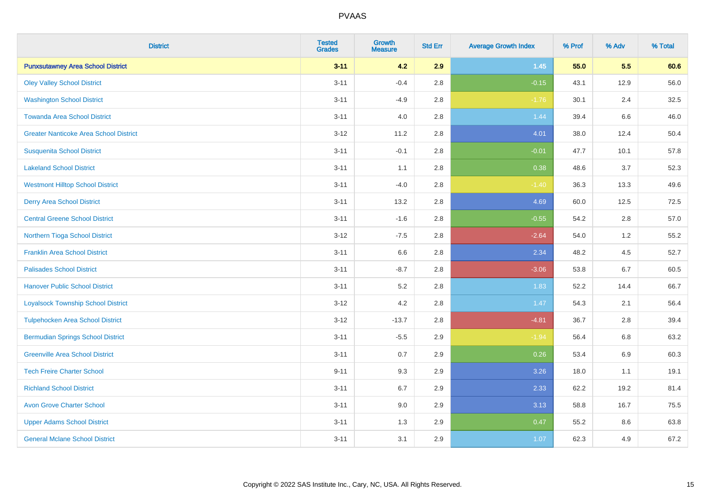| <b>District</b>                               | <b>Tested</b><br><b>Grades</b> | <b>Growth</b><br><b>Measure</b> | <b>Std Err</b> | <b>Average Growth Index</b> | % Prof | % Adv | % Total |
|-----------------------------------------------|--------------------------------|---------------------------------|----------------|-----------------------------|--------|-------|---------|
| <b>Punxsutawney Area School District</b>      | $3 - 11$                       | 4.2                             | 2.9            | $1.45$                      | 55.0   | 5.5   | 60.6    |
| <b>Oley Valley School District</b>            | $3 - 11$                       | $-0.4$                          | 2.8            | $-0.15$                     | 43.1   | 12.9  | 56.0    |
| <b>Washington School District</b>             | $3 - 11$                       | $-4.9$                          | 2.8            | $-1.76$                     | 30.1   | 2.4   | 32.5    |
| <b>Towanda Area School District</b>           | $3 - 11$                       | 4.0                             | 2.8            | 1.44                        | 39.4   | 6.6   | 46.0    |
| <b>Greater Nanticoke Area School District</b> | $3 - 12$                       | 11.2                            | 2.8            | 4.01                        | 38.0   | 12.4  | 50.4    |
| <b>Susquenita School District</b>             | $3 - 11$                       | $-0.1$                          | 2.8            | $-0.01$                     | 47.7   | 10.1  | 57.8    |
| <b>Lakeland School District</b>               | $3 - 11$                       | 1.1                             | 2.8            | 0.38                        | 48.6   | 3.7   | 52.3    |
| <b>Westmont Hilltop School District</b>       | $3 - 11$                       | $-4.0$                          | 2.8            | $-1.40$                     | 36.3   | 13.3  | 49.6    |
| <b>Derry Area School District</b>             | $3 - 11$                       | 13.2                            | 2.8            | 4.69                        | 60.0   | 12.5  | 72.5    |
| <b>Central Greene School District</b>         | $3 - 11$                       | $-1.6$                          | 2.8            | $-0.55$                     | 54.2   | 2.8   | 57.0    |
| Northern Tioga School District                | $3-12$                         | $-7.5$                          | 2.8            | $-2.64$                     | 54.0   | 1.2   | 55.2    |
| <b>Franklin Area School District</b>          | $3 - 11$                       | 6.6                             | 2.8            | 2.34                        | 48.2   | 4.5   | 52.7    |
| <b>Palisades School District</b>              | $3 - 11$                       | $-8.7$                          | 2.8            | $-3.06$                     | 53.8   | 6.7   | 60.5    |
| <b>Hanover Public School District</b>         | $3 - 11$                       | 5.2                             | 2.8            | 1.83                        | 52.2   | 14.4  | 66.7    |
| <b>Loyalsock Township School District</b>     | $3 - 12$                       | 4.2                             | 2.8            | 1.47                        | 54.3   | 2.1   | 56.4    |
| <b>Tulpehocken Area School District</b>       | $3 - 12$                       | $-13.7$                         | 2.8            | $-4.81$                     | 36.7   | 2.8   | 39.4    |
| <b>Bermudian Springs School District</b>      | $3 - 11$                       | $-5.5$                          | 2.9            | $-1.94$                     | 56.4   | 6.8   | 63.2    |
| <b>Greenville Area School District</b>        | $3 - 11$                       | 0.7                             | 2.9            | 0.26                        | 53.4   | 6.9   | 60.3    |
| <b>Tech Freire Charter School</b>             | $9 - 11$                       | 9.3                             | 2.9            | 3.26                        | 18.0   | 1.1   | 19.1    |
| <b>Richland School District</b>               | $3 - 11$                       | 6.7                             | 2.9            | 2.33                        | 62.2   | 19.2  | 81.4    |
| <b>Avon Grove Charter School</b>              | $3 - 11$                       | 9.0                             | 2.9            | 3.13                        | 58.8   | 16.7  | 75.5    |
| <b>Upper Adams School District</b>            | $3 - 11$                       | 1.3                             | 2.9            | 0.47                        | 55.2   | 8.6   | 63.8    |
| <b>General Mclane School District</b>         | $3 - 11$                       | 3.1                             | 2.9            | 1.07                        | 62.3   | 4.9   | 67.2    |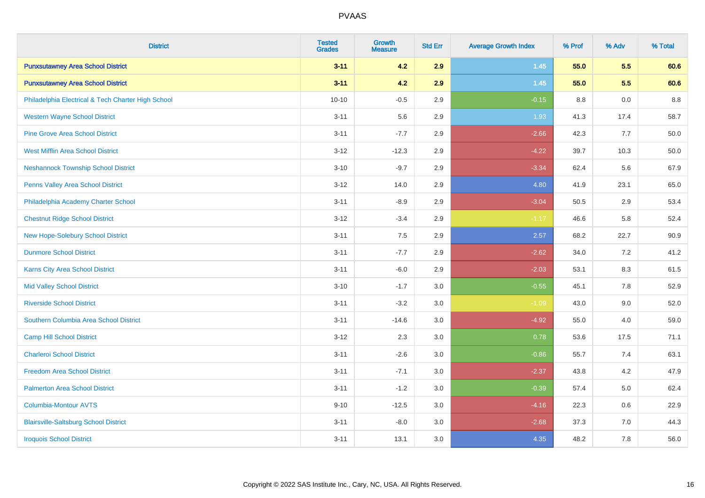| <b>District</b>                                    | <b>Tested</b><br><b>Grades</b> | Growth<br><b>Measure</b> | <b>Std Err</b> | <b>Average Growth Index</b> | % Prof  | % Adv | % Total |
|----------------------------------------------------|--------------------------------|--------------------------|----------------|-----------------------------|---------|-------|---------|
| <b>Punxsutawney Area School District</b>           | $3 - 11$                       | 4.2                      | 2.9            | $1.45$                      | 55.0    | 5.5   | 60.6    |
| <b>Punxsutawney Area School District</b>           | $3 - 11$                       | 4.2                      | 2.9            | 1.45                        | 55.0    | 5.5   | 60.6    |
| Philadelphia Electrical & Tech Charter High School | $10 - 10$                      | $-0.5$                   | 2.9            | $-0.15$                     | $8.8\,$ | 0.0   | $8.8\,$ |
| <b>Western Wayne School District</b>               | $3 - 11$                       | 5.6                      | 2.9            | 1.93                        | 41.3    | 17.4  | 58.7    |
| <b>Pine Grove Area School District</b>             | $3 - 11$                       | $-7.7$                   | 2.9            | $-2.66$                     | 42.3    | 7.7   | 50.0    |
| <b>West Mifflin Area School District</b>           | $3 - 12$                       | $-12.3$                  | 2.9            | $-4.22$                     | 39.7    | 10.3  | 50.0    |
| <b>Neshannock Township School District</b>         | $3 - 10$                       | $-9.7$                   | 2.9            | $-3.34$                     | 62.4    | 5.6   | 67.9    |
| <b>Penns Valley Area School District</b>           | $3 - 12$                       | 14.0                     | 2.9            | 4.80                        | 41.9    | 23.1  | 65.0    |
| Philadelphia Academy Charter School                | $3 - 11$                       | $-8.9$                   | 2.9            | $-3.04$                     | 50.5    | 2.9   | 53.4    |
| <b>Chestnut Ridge School District</b>              | $3 - 12$                       | $-3.4$                   | 2.9            | $-1.17$                     | 46.6    | 5.8   | 52.4    |
| New Hope-Solebury School District                  | $3 - 11$                       | 7.5                      | 2.9            | 2.57                        | 68.2    | 22.7  | 90.9    |
| <b>Dunmore School District</b>                     | $3 - 11$                       | $-7.7$                   | 2.9            | $-2.62$                     | 34.0    | 7.2   | 41.2    |
| Karns City Area School District                    | $3 - 11$                       | $-6.0$                   | 2.9            | $-2.03$                     | 53.1    | 8.3   | 61.5    |
| <b>Mid Valley School District</b>                  | $3 - 10$                       | $-1.7$                   | 3.0            | $-0.55$                     | 45.1    | 7.8   | 52.9    |
| <b>Riverside School District</b>                   | $3 - 11$                       | $-3.2$                   | 3.0            | $-1.09$                     | 43.0    | 9.0   | 52.0    |
| Southern Columbia Area School District             | $3 - 11$                       | $-14.6$                  | 3.0            | $-4.92$                     | 55.0    | 4.0   | 59.0    |
| <b>Camp Hill School District</b>                   | $3 - 12$                       | 2.3                      | 3.0            | 0.78                        | 53.6    | 17.5  | 71.1    |
| <b>Charleroi School District</b>                   | $3 - 11$                       | $-2.6$                   | 3.0            | $-0.86$                     | 55.7    | 7.4   | 63.1    |
| <b>Freedom Area School District</b>                | $3 - 11$                       | $-7.1$                   | $3.0\,$        | $-2.37$                     | 43.8    | 4.2   | 47.9    |
| <b>Palmerton Area School District</b>              | $3 - 11$                       | $-1.2$                   | 3.0            | $-0.39$                     | 57.4    | 5.0   | 62.4    |
| <b>Columbia-Montour AVTS</b>                       | $9 - 10$                       | $-12.5$                  | 3.0            | $-4.16$                     | 22.3    | 0.6   | 22.9    |
| <b>Blairsville-Saltsburg School District</b>       | $3 - 11$                       | $-8.0$                   | 3.0            | $-2.68$                     | 37.3    | 7.0   | 44.3    |
| <b>Iroquois School District</b>                    | $3 - 11$                       | 13.1                     | 3.0            | 4.35                        | 48.2    | 7.8   | 56.0    |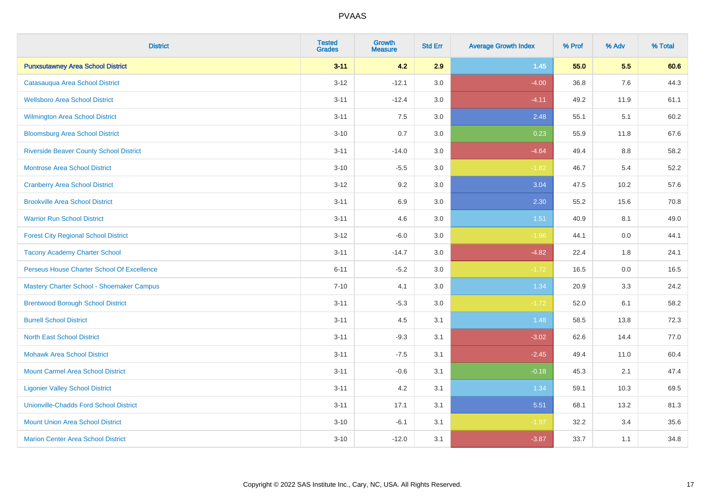| <b>District</b>                                | <b>Tested</b><br><b>Grades</b> | <b>Growth</b><br><b>Measure</b> | <b>Std Err</b> | <b>Average Growth Index</b> | % Prof | % Adv | % Total |
|------------------------------------------------|--------------------------------|---------------------------------|----------------|-----------------------------|--------|-------|---------|
| <b>Punxsutawney Area School District</b>       | $3 - 11$                       | 4.2                             | 2.9            | $1.45$                      | 55.0   | 5.5   | 60.6    |
| Catasaugua Area School District                | $3 - 12$                       | $-12.1$                         | 3.0            | $-4.00$                     | 36.8   | 7.6   | 44.3    |
| <b>Wellsboro Area School District</b>          | $3 - 11$                       | $-12.4$                         | 3.0            | $-4.11$                     | 49.2   | 11.9  | 61.1    |
| <b>Wilmington Area School District</b>         | $3 - 11$                       | 7.5                             | 3.0            | 2.48                        | 55.1   | 5.1   | 60.2    |
| <b>Bloomsburg Area School District</b>         | $3 - 10$                       | 0.7                             | 3.0            | 0.23                        | 55.9   | 11.8  | 67.6    |
| <b>Riverside Beaver County School District</b> | $3 - 11$                       | $-14.0$                         | 3.0            | $-4.64$                     | 49.4   | 8.8   | 58.2    |
| <b>Montrose Area School District</b>           | $3 - 10$                       | $-5.5$                          | 3.0            | $-1.82$                     | 46.7   | 5.4   | 52.2    |
| <b>Cranberry Area School District</b>          | $3 - 12$                       | 9.2                             | 3.0            | 3.04                        | 47.5   | 10.2  | 57.6    |
| <b>Brookville Area School District</b>         | $3 - 11$                       | 6.9                             | 3.0            | 2.30                        | 55.2   | 15.6  | 70.8    |
| <b>Warrior Run School District</b>             | $3 - 11$                       | 4.6                             | 3.0            | 1.51                        | 40.9   | 8.1   | 49.0    |
| <b>Forest City Regional School District</b>    | $3 - 12$                       | $-6.0$                          | 3.0            | $-1.96$                     | 44.1   | 0.0   | 44.1    |
| <b>Tacony Academy Charter School</b>           | $3 - 11$                       | $-14.7$                         | 3.0            | $-4.82$                     | 22.4   | 1.8   | 24.1    |
| Perseus House Charter School Of Excellence     | $6 - 11$                       | $-5.2$                          | 3.0            | $-1.72$                     | 16.5   | 0.0   | 16.5    |
| Mastery Charter School - Shoemaker Campus      | $7 - 10$                       | 4.1                             | 3.0            | 1.34                        | 20.9   | 3.3   | 24.2    |
| <b>Brentwood Borough School District</b>       | $3 - 11$                       | $-5.3$                          | 3.0            | $-1.72$                     | 52.0   | 6.1   | 58.2    |
| <b>Burrell School District</b>                 | $3 - 11$                       | 4.5                             | 3.1            | 1.48                        | 58.5   | 13.8  | 72.3    |
| <b>North East School District</b>              | $3 - 11$                       | $-9.3$                          | 3.1            | $-3.02$                     | 62.6   | 14.4  | 77.0    |
| <b>Mohawk Area School District</b>             | $3 - 11$                       | $-7.5$                          | 3.1            | $-2.45$                     | 49.4   | 11.0  | 60.4    |
| <b>Mount Carmel Area School District</b>       | $3 - 11$                       | $-0.6$                          | 3.1            | $-0.18$                     | 45.3   | 2.1   | 47.4    |
| <b>Ligonier Valley School District</b>         | $3 - 11$                       | 4.2                             | 3.1            | 1.34                        | 59.1   | 10.3  | 69.5    |
| <b>Unionville-Chadds Ford School District</b>  | $3 - 11$                       | 17.1                            | 3.1            | 5.51                        | 68.1   | 13.2  | 81.3    |
| <b>Mount Union Area School District</b>        | $3 - 10$                       | $-6.1$                          | 3.1            | $-1.97$                     | 32.2   | 3.4   | 35.6    |
| <b>Marion Center Area School District</b>      | $3 - 10$                       | $-12.0$                         | 3.1            | $-3.87$                     | 33.7   | 1.1   | 34.8    |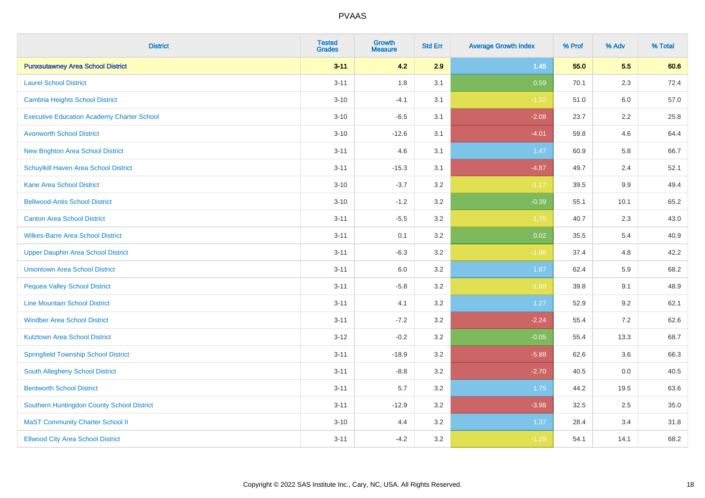| <b>District</b>                                   | <b>Tested</b><br><b>Grades</b> | <b>Growth</b><br><b>Measure</b> | <b>Std Err</b> | <b>Average Growth Index</b> | % Prof | % Adv | % Total |
|---------------------------------------------------|--------------------------------|---------------------------------|----------------|-----------------------------|--------|-------|---------|
| <b>Punxsutawney Area School District</b>          | $3 - 11$                       | 4.2                             | 2.9            | $1.45$                      | 55.0   | 5.5   | 60.6    |
| <b>Laurel School District</b>                     | $3 - 11$                       | 1.8                             | 3.1            | 0.59                        | 70.1   | 2.3   | 72.4    |
| <b>Cambria Heights School District</b>            | $3 - 10$                       | $-4.1$                          | 3.1            | $-1.32$                     | 51.0   | 6.0   | 57.0    |
| <b>Executive Education Academy Charter School</b> | $3 - 10$                       | $-6.5$                          | 3.1            | $-2.08$                     | 23.7   | 2.2   | 25.8    |
| <b>Avonworth School District</b>                  | $3 - 10$                       | $-12.6$                         | 3.1            | $-4.01$                     | 59.8   | 4.6   | 64.4    |
| <b>New Brighton Area School District</b>          | $3 - 11$                       | 4.6                             | 3.1            | 1.47                        | 60.9   | 5.8   | 66.7    |
| Schuylkill Haven Area School District             | $3 - 11$                       | $-15.3$                         | 3.1            | $-4.87$                     | 49.7   | 2.4   | 52.1    |
| <b>Kane Area School District</b>                  | $3 - 10$                       | $-3.7$                          | 3.2            | $-1.17$                     | 39.5   | 9.9   | 49.4    |
| <b>Bellwood-Antis School District</b>             | $3 - 10$                       | $-1.2$                          | 3.2            | $-0.39$                     | 55.1   | 10.1  | 65.2    |
| <b>Canton Area School District</b>                | $3 - 11$                       | $-5.5$                          | 3.2            | $-1.75$                     | 40.7   | 2.3   | 43.0    |
| <b>Wilkes-Barre Area School District</b>          | $3 - 11$                       | 0.1                             | 3.2            | 0.02                        | 35.5   | 5.4   | 40.9    |
| <b>Upper Dauphin Area School District</b>         | $3 - 11$                       | $-6.3$                          | 3.2            | $-1.98$                     | 37.4   | 4.8   | 42.2    |
| <b>Uniontown Area School District</b>             | $3 - 11$                       | $6.0\,$                         | 3.2            | 1.87                        | 62.4   | 5.9   | 68.2    |
| <b>Pequea Valley School District</b>              | $3 - 11$                       | $-5.8$                          | 3.2            | $-1.80$                     | 39.8   | 9.1   | 48.9    |
| <b>Line Mountain School District</b>              | $3 - 11$                       | 4.1                             | 3.2            | 1.27                        | 52.9   | 9.2   | 62.1    |
| <b>Windber Area School District</b>               | $3 - 11$                       | $-7.2$                          | 3.2            | $-2.24$                     | 55.4   | 7.2   | 62.6    |
| <b>Kutztown Area School District</b>              | $3 - 12$                       | $-0.2$                          | 3.2            | $-0.05$                     | 55.4   | 13.3  | 68.7    |
| <b>Springfield Township School District</b>       | $3 - 11$                       | $-18.9$                         | 3.2            | $-5.88$                     | 62.6   | 3.6   | 66.3    |
| South Allegheny School District                   | $3 - 11$                       | $-8.8$                          | 3.2            | $-2.70$                     | 40.5   | 0.0   | 40.5    |
| <b>Bentworth School District</b>                  | $3 - 11$                       | 5.7                             | 3.2            | 1.75                        | 44.2   | 19.5  | 63.6    |
| Southern Huntingdon County School District        | $3 - 11$                       | $-12.9$                         | 3.2            | $-3.98$                     | 32.5   | 2.5   | 35.0    |
| <b>MaST Community Charter School II</b>           | $3 - 10$                       | 4.4                             | 3.2            | 1.37                        | 28.4   | 3.4   | 31.8    |
| <b>Ellwood City Area School District</b>          | $3 - 11$                       | $-4.2$                          | 3.2            | $-1.29$                     | 54.1   | 14.1  | 68.2    |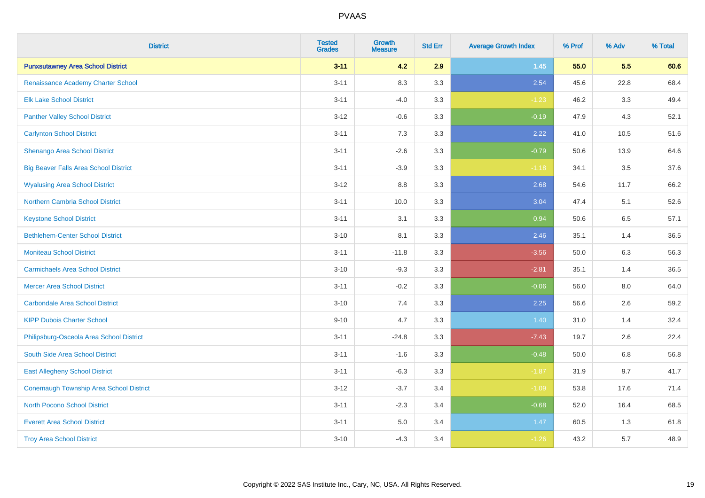| <b>District</b>                                | <b>Tested</b><br><b>Grades</b> | <b>Growth</b><br><b>Measure</b> | <b>Std Err</b> | <b>Average Growth Index</b> | % Prof | % Adv   | % Total |
|------------------------------------------------|--------------------------------|---------------------------------|----------------|-----------------------------|--------|---------|---------|
| <b>Punxsutawney Area School District</b>       | $3 - 11$                       | 4.2                             | 2.9            | $1.45$                      | 55.0   | 5.5     | 60.6    |
| Renaissance Academy Charter School             | $3 - 11$                       | 8.3                             | 3.3            | 2.54                        | 45.6   | 22.8    | 68.4    |
| <b>Elk Lake School District</b>                | $3 - 11$                       | $-4.0$                          | 3.3            | $-1.23$                     | 46.2   | 3.3     | 49.4    |
| <b>Panther Valley School District</b>          | $3 - 12$                       | $-0.6$                          | 3.3            | $-0.19$                     | 47.9   | 4.3     | 52.1    |
| <b>Carlynton School District</b>               | $3 - 11$                       | 7.3                             | 3.3            | 2.22                        | 41.0   | 10.5    | 51.6    |
| Shenango Area School District                  | $3 - 11$                       | $-2.6$                          | 3.3            | $-0.79$                     | 50.6   | 13.9    | 64.6    |
| <b>Big Beaver Falls Area School District</b>   | $3 - 11$                       | $-3.9$                          | 3.3            | $-1.18$                     | 34.1   | 3.5     | 37.6    |
| <b>Wyalusing Area School District</b>          | $3 - 12$                       | 8.8                             | 3.3            | 2.68                        | 54.6   | 11.7    | 66.2    |
| <b>Northern Cambria School District</b>        | $3 - 11$                       | 10.0                            | 3.3            | 3.04                        | 47.4   | 5.1     | 52.6    |
| <b>Keystone School District</b>                | $3 - 11$                       | 3.1                             | 3.3            | 0.94                        | 50.6   | $6.5\,$ | 57.1    |
| <b>Bethlehem-Center School District</b>        | $3 - 10$                       | 8.1                             | 3.3            | 2.46                        | 35.1   | 1.4     | 36.5    |
| <b>Moniteau School District</b>                | $3 - 11$                       | $-11.8$                         | 3.3            | $-3.56$                     | 50.0   | 6.3     | 56.3    |
| <b>Carmichaels Area School District</b>        | $3 - 10$                       | $-9.3$                          | 3.3            | $-2.81$                     | 35.1   | 1.4     | 36.5    |
| <b>Mercer Area School District</b>             | $3 - 11$                       | $-0.2$                          | 3.3            | $-0.06$                     | 56.0   | 8.0     | 64.0    |
| <b>Carbondale Area School District</b>         | $3 - 10$                       | 7.4                             | 3.3            | 2.25                        | 56.6   | 2.6     | 59.2    |
| <b>KIPP Dubois Charter School</b>              | $9 - 10$                       | 4.7                             | 3.3            | 1.40                        | 31.0   | 1.4     | 32.4    |
| Philipsburg-Osceola Area School District       | $3 - 11$                       | $-24.8$                         | 3.3            | $-7.43$                     | 19.7   | 2.6     | 22.4    |
| South Side Area School District                | $3 - 11$                       | $-1.6$                          | 3.3            | $-0.48$                     | 50.0   | 6.8     | 56.8    |
| <b>East Allegheny School District</b>          | $3 - 11$                       | $-6.3$                          | 3.3            | $-1.87$                     | 31.9   | 9.7     | 41.7    |
| <b>Conemaugh Township Area School District</b> | $3 - 12$                       | $-3.7$                          | 3.4            | $-1.09$                     | 53.8   | 17.6    | 71.4    |
| <b>North Pocono School District</b>            | $3 - 11$                       | $-2.3$                          | 3.4            | $-0.68$                     | 52.0   | 16.4    | 68.5    |
| <b>Everett Area School District</b>            | $3 - 11$                       | 5.0                             | 3.4            | 1.47                        | 60.5   | 1.3     | 61.8    |
| <b>Troy Area School District</b>               | $3 - 10$                       | $-4.3$                          | 3.4            | $-1.26$                     | 43.2   | 5.7     | 48.9    |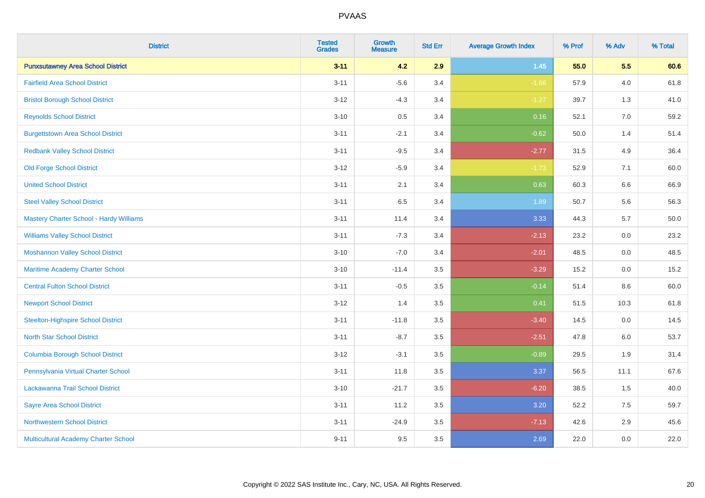| <b>District</b>                                | <b>Tested</b><br><b>Grades</b> | <b>Growth</b><br><b>Measure</b> | <b>Std Err</b> | <b>Average Growth Index</b> | % Prof | % Adv   | % Total |
|------------------------------------------------|--------------------------------|---------------------------------|----------------|-----------------------------|--------|---------|---------|
| <b>Punxsutawney Area School District</b>       | $3 - 11$                       | 4.2                             | 2.9            | $1.45$                      | 55.0   | 5.5     | 60.6    |
| <b>Fairfield Area School District</b>          | $3 - 11$                       | $-5.6$                          | 3.4            | $-1.66$                     | 57.9   | 4.0     | 61.8    |
| <b>Bristol Borough School District</b>         | $3 - 12$                       | $-4.3$                          | 3.4            | $-1.27$                     | 39.7   | 1.3     | 41.0    |
| <b>Reynolds School District</b>                | $3 - 10$                       | 0.5                             | 3.4            | 0.16                        | 52.1   | 7.0     | 59.2    |
| <b>Burgettstown Area School District</b>       | $3 - 11$                       | $-2.1$                          | 3.4            | $-0.62$                     | 50.0   | 1.4     | 51.4    |
| <b>Redbank Valley School District</b>          | $3 - 11$                       | $-9.5$                          | 3.4            | $-2.77$                     | 31.5   | 4.9     | 36.4    |
| <b>Old Forge School District</b>               | $3 - 12$                       | $-5.9$                          | 3.4            | $-1.73$                     | 52.9   | 7.1     | 60.0    |
| <b>United School District</b>                  | $3 - 11$                       | 2.1                             | 3.4            | 0.63                        | 60.3   | 6.6     | 66.9    |
| <b>Steel Valley School District</b>            | $3 - 11$                       | 6.5                             | 3.4            | 1.89                        | 50.7   | 5.6     | 56.3    |
| <b>Mastery Charter School - Hardy Williams</b> | $3 - 11$                       | 11.4                            | 3.4            | 3.33                        | 44.3   | 5.7     | 50.0    |
| <b>Williams Valley School District</b>         | $3 - 11$                       | $-7.3$                          | 3.4            | $-2.13$                     | 23.2   | 0.0     | 23.2    |
| <b>Moshannon Valley School District</b>        | $3 - 10$                       | $-7.0$                          | 3.4            | $-2.01$                     | 48.5   | 0.0     | 48.5    |
| Maritime Academy Charter School                | $3 - 10$                       | $-11.4$                         | 3.5            | $-3.29$                     | 15.2   | 0.0     | 15.2    |
| <b>Central Fulton School District</b>          | $3 - 11$                       | $-0.5$                          | 3.5            | $-0.14$                     | 51.4   | 8.6     | 60.0    |
| <b>Newport School District</b>                 | $3 - 12$                       | 1.4                             | 3.5            | 0.41                        | 51.5   | 10.3    | 61.8    |
| <b>Steelton-Highspire School District</b>      | $3 - 11$                       | $-11.8$                         | 3.5            | $-3.40$                     | 14.5   | $0.0\,$ | 14.5    |
| <b>North Star School District</b>              | $3 - 11$                       | $-8.7$                          | 3.5            | $-2.51$                     | 47.8   | 6.0     | 53.7    |
| <b>Columbia Borough School District</b>        | $3 - 12$                       | $-3.1$                          | 3.5            | $-0.89$                     | 29.5   | 1.9     | 31.4    |
| Pennsylvania Virtual Charter School            | $3 - 11$                       | 11.8                            | 3.5            | 3.37                        | 56.5   | 11.1    | 67.6    |
| Lackawanna Trail School District               | $3 - 10$                       | $-21.7$                         | 3.5            | $-6.20$                     | 38.5   | 1.5     | 40.0    |
| <b>Sayre Area School District</b>              | $3 - 11$                       | 11.2                            | $3.5\,$        | 3.20                        | 52.2   | 7.5     | 59.7    |
| <b>Northwestern School District</b>            | $3 - 11$                       | $-24.9$                         | 3.5            | $-7.13$                     | 42.6   | 2.9     | 45.6    |
| <b>Multicultural Academy Charter School</b>    | $9 - 11$                       | 9.5                             | 3.5            | 2.69                        | 22.0   | 0.0     | 22.0    |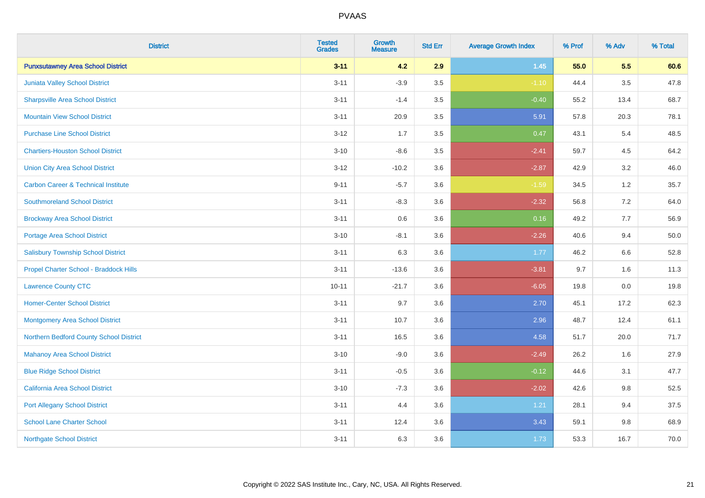| <b>District</b>                                | <b>Tested</b><br><b>Grades</b> | <b>Growth</b><br><b>Measure</b> | <b>Std Err</b> | <b>Average Growth Index</b> | % Prof | % Adv   | % Total |
|------------------------------------------------|--------------------------------|---------------------------------|----------------|-----------------------------|--------|---------|---------|
| <b>Punxsutawney Area School District</b>       | $3 - 11$                       | 4.2                             | 2.9            | $1.45$                      | 55.0   | 5.5     | 60.6    |
| Juniata Valley School District                 | $3 - 11$                       | $-3.9$                          | 3.5            | $-1.10$                     | 44.4   | 3.5     | 47.8    |
| <b>Sharpsville Area School District</b>        | $3 - 11$                       | $-1.4$                          | 3.5            | $-0.40$                     | 55.2   | 13.4    | 68.7    |
| <b>Mountain View School District</b>           | $3 - 11$                       | 20.9                            | 3.5            | 5.91                        | 57.8   | 20.3    | 78.1    |
| <b>Purchase Line School District</b>           | $3 - 12$                       | 1.7                             | 3.5            | 0.47                        | 43.1   | 5.4     | 48.5    |
| <b>Chartiers-Houston School District</b>       | $3 - 10$                       | $-8.6$                          | 3.5            | $-2.41$                     | 59.7   | 4.5     | 64.2    |
| <b>Union City Area School District</b>         | $3 - 12$                       | $-10.2$                         | 3.6            | $-2.87$                     | 42.9   | 3.2     | 46.0    |
| <b>Carbon Career &amp; Technical Institute</b> | $9 - 11$                       | $-5.7$                          | 3.6            | $-1.59$                     | 34.5   | 1.2     | 35.7    |
| <b>Southmoreland School District</b>           | $3 - 11$                       | $-8.3$                          | 3.6            | $-2.32$                     | 56.8   | 7.2     | 64.0    |
| <b>Brockway Area School District</b>           | $3 - 11$                       | 0.6                             | 3.6            | 0.16                        | 49.2   | 7.7     | 56.9    |
| Portage Area School District                   | $3 - 10$                       | $-8.1$                          | 3.6            | $-2.26$                     | 40.6   | 9.4     | 50.0    |
| <b>Salisbury Township School District</b>      | $3 - 11$                       | 6.3                             | 3.6            | 1.77                        | 46.2   | 6.6     | 52.8    |
| Propel Charter School - Braddock Hills         | $3 - 11$                       | $-13.6$                         | 3.6            | $-3.81$                     | 9.7    | 1.6     | 11.3    |
| <b>Lawrence County CTC</b>                     | $10 - 11$                      | $-21.7$                         | 3.6            | $-6.05$                     | 19.8   | 0.0     | 19.8    |
| <b>Homer-Center School District</b>            | $3 - 11$                       | 9.7                             | 3.6            | 2.70                        | 45.1   | 17.2    | 62.3    |
| <b>Montgomery Area School District</b>         | $3 - 11$                       | 10.7                            | 3.6            | 2.96                        | 48.7   | 12.4    | 61.1    |
| Northern Bedford County School District        | $3 - 11$                       | 16.5                            | 3.6            | 4.58                        | 51.7   | 20.0    | 71.7    |
| <b>Mahanoy Area School District</b>            | $3 - 10$                       | $-9.0$                          | 3.6            | $-2.49$                     | 26.2   | 1.6     | 27.9    |
| <b>Blue Ridge School District</b>              | $3 - 11$                       | $-0.5$                          | 3.6            | $-0.12$                     | 44.6   | 3.1     | 47.7    |
| California Area School District                | $3 - 10$                       | $-7.3$                          | 3.6            | $-2.02$                     | 42.6   | 9.8     | 52.5    |
| <b>Port Allegany School District</b>           | $3 - 11$                       | 4.4                             | 3.6            | 1.21                        | 28.1   | 9.4     | 37.5    |
| <b>School Lane Charter School</b>              | $3 - 11$                       | 12.4                            | 3.6            | 3.43                        | 59.1   | $9.8\,$ | 68.9    |
| <b>Northgate School District</b>               | $3 - 11$                       | 6.3                             | 3.6            | 1.73                        | 53.3   | 16.7    | 70.0    |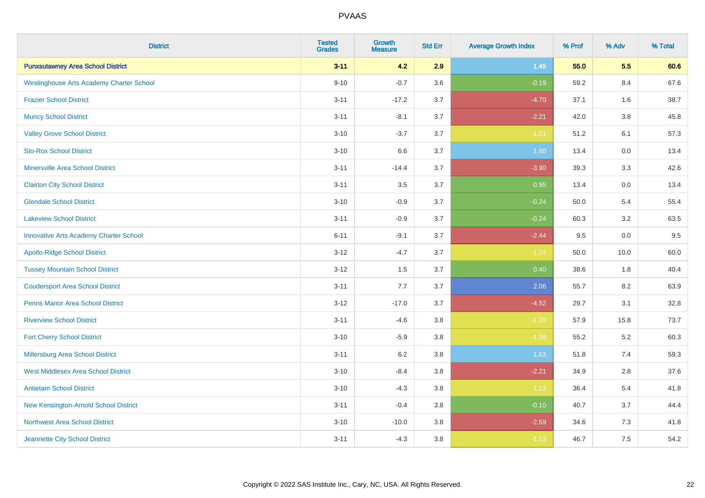| <b>District</b>                                 | <b>Tested</b><br><b>Grades</b> | <b>Growth</b><br><b>Measure</b> | <b>Std Err</b> | <b>Average Growth Index</b> | % Prof | % Adv   | % Total |
|-------------------------------------------------|--------------------------------|---------------------------------|----------------|-----------------------------|--------|---------|---------|
| <b>Punxsutawney Area School District</b>        | $3 - 11$                       | 4.2                             | 2.9            | $1.45$                      | 55.0   | 5.5     | 60.6    |
| <b>Westinghouse Arts Academy Charter School</b> | $9 - 10$                       | $-0.7$                          | 3.6            | $-0.19$                     | 59.2   | 8.4     | 67.6    |
| <b>Frazier School District</b>                  | $3 - 11$                       | $-17.2$                         | 3.7            | $-4.70$                     | 37.1   | 1.6     | 38.7    |
| <b>Muncy School District</b>                    | $3 - 11$                       | $-8.1$                          | 3.7            | $-2.21$                     | 42.0   | $3.8\,$ | 45.8    |
| <b>Valley Grove School District</b>             | $3 - 10$                       | $-3.7$                          | 3.7            | $-1.01$                     | 51.2   | 6.1     | 57.3    |
| <b>Sto-Rox School District</b>                  | $3 - 10$                       | 6.6                             | 3.7            | 1.80                        | 13.4   | 0.0     | 13.4    |
| <b>Minersville Area School District</b>         | $3 - 11$                       | $-14.4$                         | 3.7            | $-3.90$                     | 39.3   | 3.3     | 42.6    |
| <b>Clairton City School District</b>            | $3 - 11$                       | 3.5                             | 3.7            | 0.95                        | 13.4   | 0.0     | 13.4    |
| <b>Glendale School District</b>                 | $3 - 10$                       | $-0.9$                          | 3.7            | $-0.24$                     | 50.0   | 5.4     | 55.4    |
| <b>Lakeview School District</b>                 | $3 - 11$                       | $-0.9$                          | 3.7            | $-0.24$                     | 60.3   | $3.2\,$ | 63.5    |
| <b>Innovative Arts Academy Charter School</b>   | $6 - 11$                       | $-9.1$                          | 3.7            | $-2.44$                     | 9.5    | 0.0     | 9.5     |
| <b>Apollo-Ridge School District</b>             | $3 - 12$                       | $-4.7$                          | 3.7            | $-1.24$                     | 50.0   | 10.0    | 60.0    |
| <b>Tussey Mountain School District</b>          | $3 - 12$                       | 1.5                             | 3.7            | 0.40                        | 38.6   | 1.8     | 40.4    |
| <b>Coudersport Area School District</b>         | $3 - 11$                       | 7.7                             | 3.7            | 2.06                        | 55.7   | 8.2     | 63.9    |
| <b>Penns Manor Area School District</b>         | $3 - 12$                       | $-17.0$                         | 3.7            | $-4.52$                     | 29.7   | 3.1     | 32.8    |
| <b>Riverview School District</b>                | $3 - 11$                       | $-4.6$                          | 3.8            | $-1.20$                     | 57.9   | 15.8    | 73.7    |
| <b>Fort Cherry School District</b>              | $3 - 10$                       | $-5.9$                          | $3.8\,$        | $-1.56$                     | 55.2   | 5.2     | 60.3    |
| <b>Millersburg Area School District</b>         | $3 - 11$                       | 6.2                             | 3.8            | 1.63                        | 51.8   | 7.4     | 59.3    |
| <b>West Middlesex Area School District</b>      | $3 - 10$                       | $-8.4$                          | $3.8\,$        | $-2.21$                     | 34.9   | 2.8     | 37.6    |
| <b>Antietam School District</b>                 | $3 - 10$                       | $-4.3$                          | 3.8            | $-1.13$                     | 36.4   | 5.4     | 41.8    |
| New Kensington-Arnold School District           | $3 - 11$                       | $-0.4$                          | 3.8            | $-0.10$                     | 40.7   | 3.7     | 44.4    |
| Northwest Area School District                  | $3 - 10$                       | $-10.0$                         | 3.8            | $-2.59$                     | 34.6   | 7.3     | 41.8    |
| Jeannette City School District                  | $3 - 11$                       | $-4.3$                          | 3.8            | $-1.13$                     | 46.7   | 7.5     | 54.2    |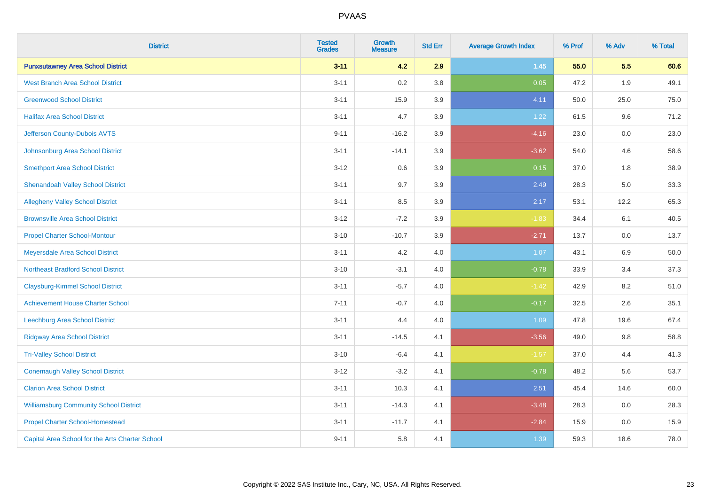| <b>District</b>                                 | <b>Tested</b><br><b>Grades</b> | <b>Growth</b><br><b>Measure</b> | <b>Std Err</b> | <b>Average Growth Index</b> | % Prof | % Adv | % Total |
|-------------------------------------------------|--------------------------------|---------------------------------|----------------|-----------------------------|--------|-------|---------|
| <b>Punxsutawney Area School District</b>        | $3 - 11$                       | 4.2                             | 2.9            | $1.45$                      | 55.0   | 5.5   | 60.6    |
| <b>West Branch Area School District</b>         | $3 - 11$                       | 0.2                             | 3.8            | 0.05                        | 47.2   | 1.9   | 49.1    |
| <b>Greenwood School District</b>                | $3 - 11$                       | 15.9                            | 3.9            | 4.11                        | 50.0   | 25.0  | 75.0    |
| <b>Halifax Area School District</b>             | $3 - 11$                       | 4.7                             | 3.9            | 1.22                        | 61.5   | 9.6   | 71.2    |
| Jefferson County-Dubois AVTS                    | $9 - 11$                       | $-16.2$                         | 3.9            | $-4.16$                     | 23.0   | 0.0   | 23.0    |
| Johnsonburg Area School District                | $3 - 11$                       | $-14.1$                         | 3.9            | $-3.62$                     | 54.0   | 4.6   | 58.6    |
| <b>Smethport Area School District</b>           | $3 - 12$                       | 0.6                             | 3.9            | 0.15                        | 37.0   | 1.8   | 38.9    |
| <b>Shenandoah Valley School District</b>        | $3 - 11$                       | 9.7                             | 3.9            | 2.49                        | 28.3   | 5.0   | 33.3    |
| <b>Allegheny Valley School District</b>         | $3 - 11$                       | 8.5                             | 3.9            | 2.17                        | 53.1   | 12.2  | 65.3    |
| <b>Brownsville Area School District</b>         | $3 - 12$                       | $-7.2$                          | 3.9            | $-1.83$                     | 34.4   | 6.1   | 40.5    |
| <b>Propel Charter School-Montour</b>            | $3 - 10$                       | $-10.7$                         | 3.9            | $-2.71$                     | 13.7   | 0.0   | 13.7    |
| Meyersdale Area School District                 | $3 - 11$                       | 4.2                             | 4.0            | 1.07                        | 43.1   | 6.9   | 50.0    |
| <b>Northeast Bradford School District</b>       | $3 - 10$                       | $-3.1$                          | 4.0            | $-0.78$                     | 33.9   | 3.4   | 37.3    |
| <b>Claysburg-Kimmel School District</b>         | $3 - 11$                       | $-5.7$                          | 4.0            | $-1.42$                     | 42.9   | 8.2   | 51.0    |
| <b>Achievement House Charter School</b>         | $7 - 11$                       | $-0.7$                          | 4.0            | $-0.17$                     | 32.5   | 2.6   | 35.1    |
| <b>Leechburg Area School District</b>           | $3 - 11$                       | 4.4                             | 4.0            | 1.09                        | 47.8   | 19.6  | 67.4    |
| <b>Ridgway Area School District</b>             | $3 - 11$                       | $-14.5$                         | 4.1            | $-3.56$                     | 49.0   | 9.8   | 58.8    |
| <b>Tri-Valley School District</b>               | $3 - 10$                       | $-6.4$                          | 4.1            | $-1.57$                     | 37.0   | 4.4   | 41.3    |
| <b>Conemaugh Valley School District</b>         | $3 - 12$                       | $-3.2$                          | 4.1            | $-0.78$                     | 48.2   | 5.6   | 53.7    |
| <b>Clarion Area School District</b>             | $3 - 11$                       | 10.3                            | 4.1            | 2.51                        | 45.4   | 14.6  | 60.0    |
| <b>Williamsburg Community School District</b>   | $3 - 11$                       | $-14.3$                         | 4.1            | $-3.48$                     | 28.3   | 0.0   | 28.3    |
| <b>Propel Charter School-Homestead</b>          | $3 - 11$                       | $-11.7$                         | 4.1            | $-2.84$                     | 15.9   | 0.0   | 15.9    |
| Capital Area School for the Arts Charter School | $9 - 11$                       | 5.8                             | 4.1            | 1.39                        | 59.3   | 18.6  | 78.0    |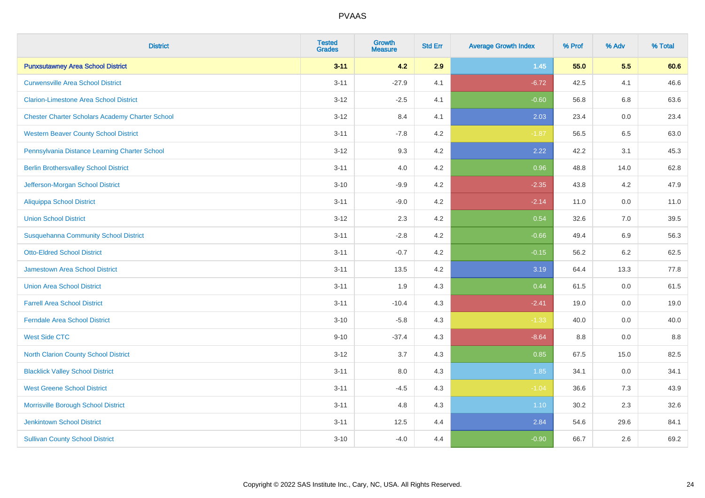| <b>District</b>                                        | <b>Tested</b><br><b>Grades</b> | <b>Growth</b><br><b>Measure</b> | <b>Std Err</b> | <b>Average Growth Index</b> | % Prof | % Adv   | % Total |
|--------------------------------------------------------|--------------------------------|---------------------------------|----------------|-----------------------------|--------|---------|---------|
| <b>Punxsutawney Area School District</b>               | $3 - 11$                       | 4.2                             | 2.9            | $1.45$                      | 55.0   | 5.5     | 60.6    |
| <b>Curwensville Area School District</b>               | $3 - 11$                       | $-27.9$                         | 4.1            | $-6.72$                     | 42.5   | 4.1     | 46.6    |
| <b>Clarion-Limestone Area School District</b>          | $3 - 12$                       | $-2.5$                          | 4.1            | $-0.60$                     | 56.8   | 6.8     | 63.6    |
| <b>Chester Charter Scholars Academy Charter School</b> | $3 - 12$                       | 8.4                             | 4.1            | 2.03                        | 23.4   | $0.0\,$ | 23.4    |
| <b>Western Beaver County School District</b>           | $3 - 11$                       | $-7.8$                          | 4.2            | $-1.87$                     | 56.5   | 6.5     | 63.0    |
| Pennsylvania Distance Learning Charter School          | $3 - 12$                       | 9.3                             | 4.2            | 2.22                        | 42.2   | 3.1     | 45.3    |
| <b>Berlin Brothersvalley School District</b>           | $3 - 11$                       | 4.0                             | 4.2            | 0.96                        | 48.8   | 14.0    | 62.8    |
| Jefferson-Morgan School District                       | $3 - 10$                       | $-9.9$                          | 4.2            | $-2.35$                     | 43.8   | 4.2     | 47.9    |
| <b>Aliquippa School District</b>                       | $3 - 11$                       | $-9.0$                          | 4.2            | $-2.14$                     | 11.0   | 0.0     | 11.0    |
| <b>Union School District</b>                           | $3 - 12$                       | 2.3                             | 4.2            | 0.54                        | 32.6   | 7.0     | 39.5    |
| <b>Susquehanna Community School District</b>           | $3 - 11$                       | $-2.8$                          | 4.2            | $-0.66$                     | 49.4   | 6.9     | 56.3    |
| <b>Otto-Eldred School District</b>                     | $3 - 11$                       | $-0.7$                          | 4.2            | $-0.15$                     | 56.2   | 6.2     | 62.5    |
| <b>Jamestown Area School District</b>                  | $3 - 11$                       | 13.5                            | 4.2            | 3.19                        | 64.4   | 13.3    | 77.8    |
| <b>Union Area School District</b>                      | $3 - 11$                       | 1.9                             | 4.3            | 0.44                        | 61.5   | 0.0     | 61.5    |
| <b>Farrell Area School District</b>                    | $3 - 11$                       | $-10.4$                         | 4.3            | $-2.41$                     | 19.0   | 0.0     | 19.0    |
| <b>Ferndale Area School District</b>                   | $3 - 10$                       | $-5.8$                          | 4.3            | $-1.33$                     | 40.0   | 0.0     | 40.0    |
| <b>West Side CTC</b>                                   | $9 - 10$                       | $-37.4$                         | 4.3            | $-8.64$                     | 8.8    | $0.0\,$ | 8.8     |
| North Clarion County School District                   | $3 - 12$                       | 3.7                             | 4.3            | 0.85                        | 67.5   | 15.0    | 82.5    |
| <b>Blacklick Valley School District</b>                | $3 - 11$                       | 8.0                             | 4.3            | 1.85                        | 34.1   | $0.0\,$ | 34.1    |
| <b>West Greene School District</b>                     | $3 - 11$                       | $-4.5$                          | 4.3            | $-1.04$                     | 36.6   | 7.3     | 43.9    |
| Morrisville Borough School District                    | $3 - 11$                       | 4.8                             | 4.3            | 1.10                        | 30.2   | 2.3     | 32.6    |
| <b>Jenkintown School District</b>                      | $3 - 11$                       | 12.5                            | 4.4            | 2.84                        | 54.6   | 29.6    | 84.1    |
| <b>Sullivan County School District</b>                 | $3 - 10$                       | $-4.0$                          | 4.4            | $-0.90$                     | 66.7   | 2.6     | 69.2    |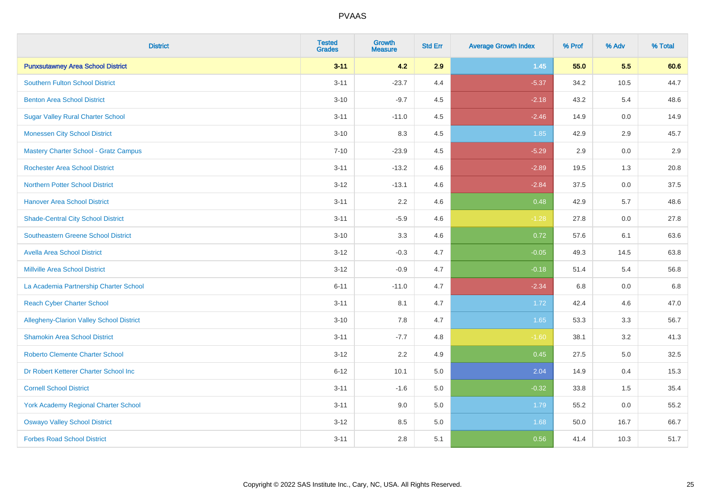| <b>District</b>                             | <b>Tested</b><br><b>Grades</b> | Growth<br><b>Measure</b> | <b>Std Err</b> | <b>Average Growth Index</b> | % Prof | % Adv   | % Total |
|---------------------------------------------|--------------------------------|--------------------------|----------------|-----------------------------|--------|---------|---------|
| <b>Punxsutawney Area School District</b>    | $3 - 11$                       | 4.2                      | 2.9            | $1.45$                      | 55.0   | 5.5     | 60.6    |
| <b>Southern Fulton School District</b>      | $3 - 11$                       | $-23.7$                  | 4.4            | $-5.37$                     | 34.2   | 10.5    | 44.7    |
| <b>Benton Area School District</b>          | $3 - 10$                       | $-9.7$                   | 4.5            | $-2.18$                     | 43.2   | 5.4     | 48.6    |
| <b>Sugar Valley Rural Charter School</b>    | $3 - 11$                       | $-11.0$                  | 4.5            | $-2.46$                     | 14.9   | 0.0     | 14.9    |
| <b>Monessen City School District</b>        | $3 - 10$                       | 8.3                      | 4.5            | 1.85                        | 42.9   | 2.9     | 45.7    |
| Mastery Charter School - Gratz Campus       | $7 - 10$                       | $-23.9$                  | 4.5            | $-5.29$                     | 2.9    | $0.0\,$ | 2.9     |
| <b>Rochester Area School District</b>       | $3 - 11$                       | $-13.2$                  | 4.6            | $-2.89$                     | 19.5   | 1.3     | 20.8    |
| <b>Northern Potter School District</b>      | $3 - 12$                       | $-13.1$                  | 4.6            | $-2.84$                     | 37.5   | 0.0     | 37.5    |
| <b>Hanover Area School District</b>         | $3 - 11$                       | 2.2                      | 4.6            | 0.48                        | 42.9   | 5.7     | 48.6    |
| <b>Shade-Central City School District</b>   | $3 - 11$                       | $-5.9$                   | 4.6            | $-1.28$                     | 27.8   | 0.0     | 27.8    |
| <b>Southeastern Greene School District</b>  | $3 - 10$                       | 3.3                      | 4.6            | 0.72                        | 57.6   | 6.1     | 63.6    |
| <b>Avella Area School District</b>          | $3 - 12$                       | $-0.3$                   | 4.7            | $-0.05$                     | 49.3   | 14.5    | 63.8    |
| <b>Millville Area School District</b>       | $3 - 12$                       | $-0.9$                   | 4.7            | $-0.18$                     | 51.4   | 5.4     | 56.8    |
| La Academia Partnership Charter School      | $6 - 11$                       | $-11.0$                  | 4.7            | $-2.34$                     | 6.8    | 0.0     | 6.8     |
| <b>Reach Cyber Charter School</b>           | $3 - 11$                       | 8.1                      | 4.7            | 1.72                        | 42.4   | 4.6     | 47.0    |
| Allegheny-Clarion Valley School District    | $3 - 10$                       | 7.8                      | 4.7            | 1.65                        | 53.3   | 3.3     | 56.7    |
| <b>Shamokin Area School District</b>        | $3 - 11$                       | $-7.7$                   | 4.8            | $-1.60$                     | 38.1   | 3.2     | 41.3    |
| <b>Roberto Clemente Charter School</b>      | $3 - 12$                       | 2.2                      | 4.9            | 0.45                        | 27.5   | 5.0     | 32.5    |
| Dr Robert Ketterer Charter School Inc       | $6 - 12$                       | 10.1                     | 5.0            | 2.04                        | 14.9   | 0.4     | 15.3    |
| <b>Cornell School District</b>              | $3 - 11$                       | $-1.6$                   | 5.0            | $-0.32$                     | 33.8   | 1.5     | 35.4    |
| <b>York Academy Regional Charter School</b> | $3 - 11$                       | 9.0                      | 5.0            | 1.79                        | 55.2   | 0.0     | 55.2    |
| <b>Oswayo Valley School District</b>        | $3 - 12$                       | 8.5                      | $5.0\,$        | 1.68                        | 50.0   | 16.7    | 66.7    |
| <b>Forbes Road School District</b>          | $3 - 11$                       | 2.8                      | 5.1            | 0.56                        | 41.4   | 10.3    | 51.7    |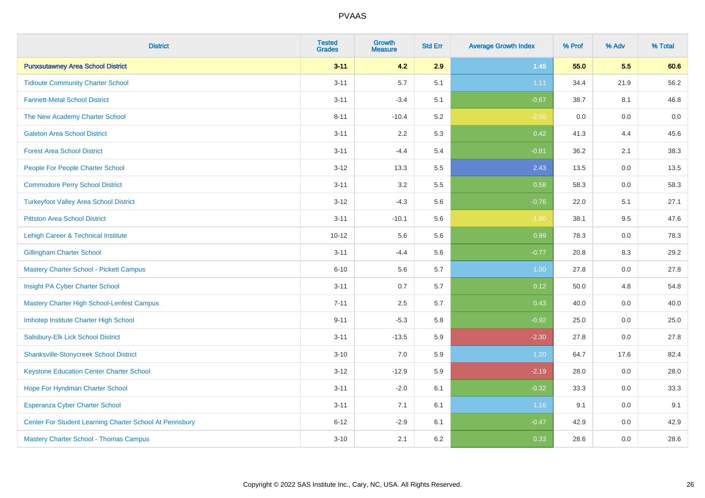| <b>District</b>                                         | <b>Tested</b><br><b>Grades</b> | <b>Growth</b><br><b>Measure</b> | <b>Std Err</b> | <b>Average Growth Index</b> | % Prof | % Adv   | % Total |
|---------------------------------------------------------|--------------------------------|---------------------------------|----------------|-----------------------------|--------|---------|---------|
| <b>Punxsutawney Area School District</b>                | $3 - 11$                       | 4.2                             | 2.9            | $1.45$                      | 55.0   | 5.5     | 60.6    |
| <b>Tidioute Community Charter School</b>                | $3 - 11$                       | 5.7                             | 5.1            | 1.11                        | 34.4   | 21.9    | 56.2    |
| <b>Fannett-Metal School District</b>                    | $3 - 11$                       | $-3.4$                          | 5.1            | $-0.67$                     | 38.7   | 8.1     | 46.8    |
| The New Academy Charter School                          | $8 - 11$                       | $-10.4$                         | 5.2            | $-2.00$                     | 0.0    | 0.0     | $0.0\,$ |
| <b>Galeton Area School District</b>                     | $3 - 11$                       | 2.2                             | 5.3            | 0.42                        | 41.3   | 4.4     | 45.6    |
| <b>Forest Area School District</b>                      | $3 - 11$                       | $-4.4$                          | 5.4            | $-0.81$                     | 36.2   | 2.1     | 38.3    |
| People For People Charter School                        | $3 - 12$                       | 13.3                            | 5.5            | 2.43                        | 13.5   | 0.0     | 13.5    |
| <b>Commodore Perry School District</b>                  | $3 - 11$                       | 3.2                             | 5.5            | 0.58                        | 58.3   | 0.0     | 58.3    |
| <b>Turkeyfoot Valley Area School District</b>           | $3 - 12$                       | $-4.3$                          | 5.6            | $-0.76$                     | 22.0   | 5.1     | 27.1    |
| <b>Pittston Area School District</b>                    | $3 - 11$                       | $-10.1$                         | 5.6            | $-1.80$                     | 38.1   | 9.5     | 47.6    |
| Lehigh Career & Technical Institute                     | $10 - 12$                      | 5.6                             | 5.6            | 0.99                        | 78.3   | 0.0     | 78.3    |
| <b>Gillingham Charter School</b>                        | $3 - 11$                       | $-4.4$                          | 5.6            | $-0.77$                     | 20.8   | 8.3     | 29.2    |
| <b>Mastery Charter School - Pickett Campus</b>          | $6 - 10$                       | 5.6                             | 5.7            | 1.00                        | 27.8   | 0.0     | 27.8    |
| Insight PA Cyber Charter School                         | $3 - 11$                       | 0.7                             | 5.7            | 0.12                        | 50.0   | 4.8     | 54.8    |
| Mastery Charter High School-Lenfest Campus              | $7 - 11$                       | 2.5                             | 5.7            | 0.43                        | 40.0   | 0.0     | 40.0    |
| Imhotep Institute Charter High School                   | $9 - 11$                       | $-5.3$                          | 5.8            | $-0.92$                     | 25.0   | $0.0\,$ | 25.0    |
| Salisbury-Elk Lick School District                      | $3 - 11$                       | $-13.5$                         | 5.9            | $-2.30$                     | 27.8   | 0.0     | 27.8    |
| <b>Shanksville-Stonycreek School District</b>           | $3 - 10$                       | 7.0                             | 5.9            | 1.20                        | 64.7   | 17.6    | 82.4    |
| <b>Keystone Education Center Charter School</b>         | $3 - 12$                       | $-12.9$                         | 5.9            | $-2.19$                     | 28.0   | 0.0     | 28.0    |
| Hope For Hyndman Charter School                         | $3 - 11$                       | $-2.0$                          | 6.1            | $-0.32$                     | 33.3   | 0.0     | 33.3    |
| <b>Esperanza Cyber Charter School</b>                   | $3 - 11$                       | 7.1                             | 6.1            | 1.16                        | 9.1    | 0.0     | 9.1     |
| Center For Student Learning Charter School At Pennsbury | $6 - 12$                       | $-2.9$                          | 6.1            | $-0.47$                     | 42.9   | 0.0     | 42.9    |
| <b>Mastery Charter School - Thomas Campus</b>           | $3 - 10$                       | 2.1                             | 6.2            | 0.33                        | 28.6   | 0.0     | 28.6    |